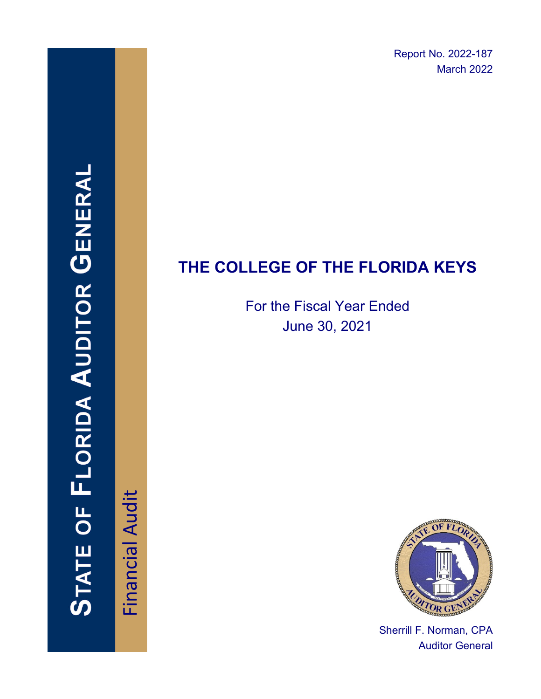Report No. 2022-187 March 2022

# STATE OF FLORIDA AUDITOR GENERA

Financial Audit Financial Audit

# **THE COLLEGE OF THE FLORIDA KEYS**

For the Fiscal Year Ended June 30, 2021



Sherrill F. Norman, CPA Auditor General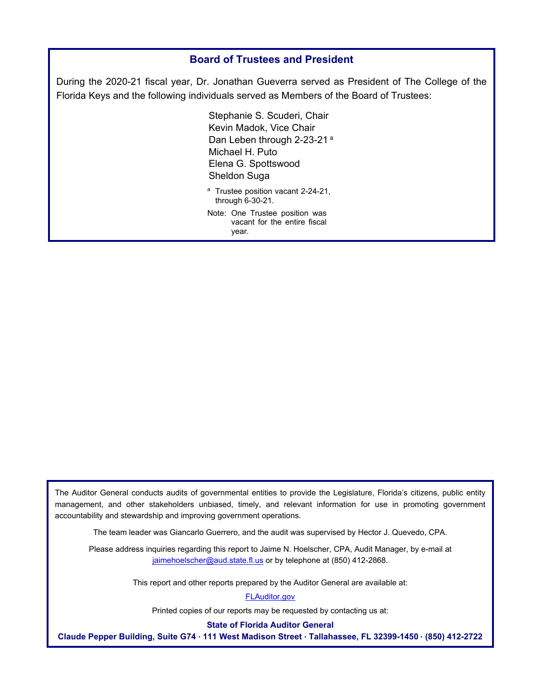| <b>Board of Trustees and President</b>                                                                                                                                                    |                                                                                                                                                                                                                                                                                                                   |  |  |  |  |  |
|-------------------------------------------------------------------------------------------------------------------------------------------------------------------------------------------|-------------------------------------------------------------------------------------------------------------------------------------------------------------------------------------------------------------------------------------------------------------------------------------------------------------------|--|--|--|--|--|
| During the 2020-21 fiscal year, Dr. Jonathan Gueverra served as President of The College of the<br>Florida Keys and the following individuals served as Members of the Board of Trustees: |                                                                                                                                                                                                                                                                                                                   |  |  |  |  |  |
|                                                                                                                                                                                           | Stephanie S. Scuderi, Chair<br>Kevin Madok, Vice Chair<br>Dan Leben through 2-23-21 <sup>a</sup><br>Michael H. Puto<br>Elena G. Spottswood<br><b>Sheldon Suga</b><br><sup>a</sup> Trustee position vacant 2-24-21,<br>through 6-30-21.<br>Note: One Trustee position was<br>vacant for the entire fiscal<br>year. |  |  |  |  |  |

The Auditor General conducts audits of governmental entities to provide the Legislature, Florida's citizens, public entity management, and other stakeholders unbiased, timely, and relevant information for use in promoting government accountability and stewardship and improving government operations.

The team leader was Giancarlo Guerrero, and the audit was supervised by Hector J. Quevedo, CPA.

Please address inquiries regarding this report to Jaime N. Hoelscher, CPA, Audit Manager, by e-mail at jaimehoelscher@aud.state.fl.us or by telephone at (850) 412-2868.

This report and other reports prepared by the Auditor General are available at:

[FLAuditor.gov](http://flauditor.gov/) 

Printed copies of our reports may be requested by contacting us at:

**State of Florida Auditor General** 

**Claude Pepper Building, Suite G74 · 111 West Madison Street · Tallahassee, FL 32399-1450 · (850) 412-2722**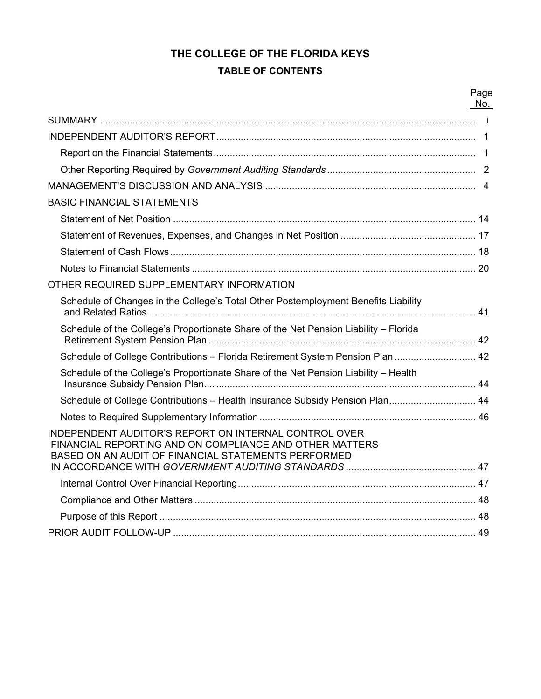# **THE COLLEGE OF THE FLORIDA KEYS TABLE OF CONTENTS**

Page

|                                                                                                                                                                         | No. |
|-------------------------------------------------------------------------------------------------------------------------------------------------------------------------|-----|
|                                                                                                                                                                         |     |
|                                                                                                                                                                         |     |
|                                                                                                                                                                         |     |
|                                                                                                                                                                         |     |
|                                                                                                                                                                         |     |
| <b>BASIC FINANCIAL STATEMENTS</b>                                                                                                                                       |     |
|                                                                                                                                                                         |     |
|                                                                                                                                                                         |     |
|                                                                                                                                                                         |     |
|                                                                                                                                                                         |     |
| OTHER REQUIRED SUPPLEMENTARY INFORMATION                                                                                                                                |     |
| Schedule of Changes in the College's Total Other Postemployment Benefits Liability                                                                                      |     |
| Schedule of the College's Proportionate Share of the Net Pension Liability - Florida                                                                                    |     |
| Schedule of College Contributions - Florida Retirement System Pension Plan  42                                                                                          |     |
| Schedule of the College's Proportionate Share of the Net Pension Liability - Health                                                                                     |     |
| Schedule of College Contributions - Health Insurance Subsidy Pension Plan 44                                                                                            |     |
|                                                                                                                                                                         |     |
| INDEPENDENT AUDITOR'S REPORT ON INTERNAL CONTROL OVER<br>FINANCIAL REPORTING AND ON COMPLIANCE AND OTHER MATTERS<br>BASED ON AN AUDIT OF FINANCIAL STATEMENTS PERFORMED |     |
|                                                                                                                                                                         |     |
|                                                                                                                                                                         |     |
|                                                                                                                                                                         |     |
|                                                                                                                                                                         |     |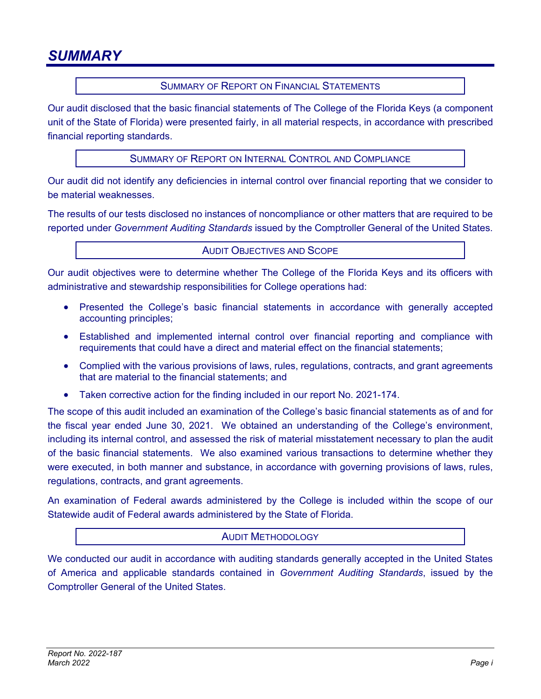# SUMMARY OF REPORT ON FINANCIAL STATEMENTS

<span id="page-3-0"></span>Our audit disclosed that the basic financial statements of The College of the Florida Keys (a component unit of the State of Florida) were presented fairly, in all material respects, in accordance with prescribed financial reporting standards.

SUMMARY OF REPORT ON INTERNAL CONTROL AND COMPLIANCE

Our audit did not identify any deficiencies in internal control over financial reporting that we consider to be material weaknesses.

The results of our tests disclosed no instances of noncompliance or other matters that are required to be reported under *Government Auditing Standards* issued by the Comptroller General of the United States.

### AUDIT OBJECTIVES AND SCOPE

Our audit objectives were to determine whether The College of the Florida Keys and its officers with administrative and stewardship responsibilities for College operations had:

- Presented the College's basic financial statements in accordance with generally accepted accounting principles;
- Established and implemented internal control over financial reporting and compliance with requirements that could have a direct and material effect on the financial statements;
- Complied with the various provisions of laws, rules, regulations, contracts, and grant agreements that are material to the financial statements; and
- Taken corrective action for the finding included in our report No. 2021-174.

The scope of this audit included an examination of the College's basic financial statements as of and for the fiscal year ended June 30, 2021. We obtained an understanding of the College's environment, including its internal control, and assessed the risk of material misstatement necessary to plan the audit of the basic financial statements. We also examined various transactions to determine whether they were executed, in both manner and substance, in accordance with governing provisions of laws, rules, regulations, contracts, and grant agreements.

An examination of Federal awards administered by the College is included within the scope of our Statewide audit of Federal awards administered by the State of Florida.

### AUDIT METHODOLOGY

We conducted our audit in accordance with auditing standards generally accepted in the United States of America and applicable standards contained in *Government Auditing Standards*, issued by the Comptroller General of the United States.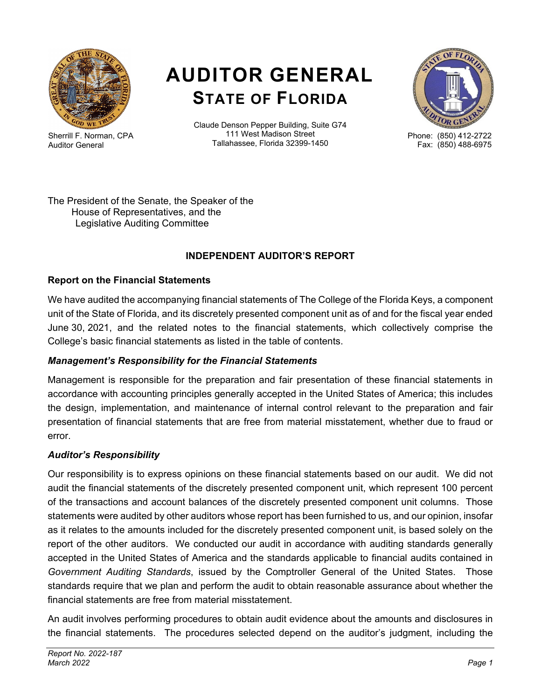<span id="page-4-0"></span>

Sherrill F. Norman, CPA Auditor General

# **AUDITOR GENERAL STATE OF FLORIDA**

Claude Denson Pepper Building, Suite G74 111 West Madison Street Tallahassee, Florida 32399-1450



Phone: (850) 412-2722 Fax: (850) 488-6975

The President of the Senate, the Speaker of the House of Representatives, and the Legislative Auditing Committee

# **INDEPENDENT AUDITOR'S REPORT**

# **Report on the Financial Statements**

We have audited the accompanying financial statements of The College of the Florida Keys, a component unit of the State of Florida, and its discretely presented component unit as of and for the fiscal year ended June 30, 2021, and the related notes to the financial statements, which collectively comprise the College's basic financial statements as listed in the table of contents.

# *Management's Responsibility for the Financial Statements*

Management is responsible for the preparation and fair presentation of these financial statements in accordance with accounting principles generally accepted in the United States of America; this includes the design, implementation, and maintenance of internal control relevant to the preparation and fair presentation of financial statements that are free from material misstatement, whether due to fraud or error.

# *Auditor's Responsibility*

Our responsibility is to express opinions on these financial statements based on our audit. We did not audit the financial statements of the discretely presented component unit, which represent 100 percent of the transactions and account balances of the discretely presented component unit columns. Those statements were audited by other auditors whose report has been furnished to us, and our opinion, insofar as it relates to the amounts included for the discretely presented component unit, is based solely on the report of the other auditors. We conducted our audit in accordance with auditing standards generally accepted in the United States of America and the standards applicable to financial audits contained in *Government Auditing Standards*, issued by the Comptroller General of the United States. Those standards require that we plan and perform the audit to obtain reasonable assurance about whether the financial statements are free from material misstatement.

An audit involves performing procedures to obtain audit evidence about the amounts and disclosures in the financial statements. The procedures selected depend on the auditor's judgment, including the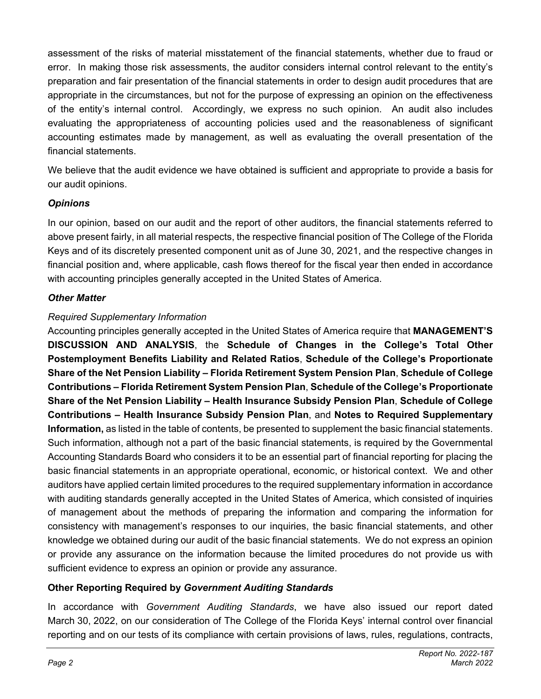<span id="page-5-0"></span>assessment of the risks of material misstatement of the financial statements, whether due to fraud or error. In making those risk assessments, the auditor considers internal control relevant to the entity's preparation and fair presentation of the financial statements in order to design audit procedures that are appropriate in the circumstances, but not for the purpose of expressing an opinion on the effectiveness of the entity's internal control. Accordingly, we express no such opinion. An audit also includes evaluating the appropriateness of accounting policies used and the reasonableness of significant accounting estimates made by management, as well as evaluating the overall presentation of the financial statements.

We believe that the audit evidence we have obtained is sufficient and appropriate to provide a basis for our audit opinions.

# *Opinions*

In our opinion, based on our audit and the report of other auditors, the financial statements referred to above present fairly, in all material respects, the respective financial position of The College of the Florida Keys and of its discretely presented component unit as of June 30, 2021, and the respective changes in financial position and, where applicable, cash flows thereof for the fiscal year then ended in accordance with accounting principles generally accepted in the United States of America.

# *Other Matter*

# *Required Supplementary Information*

Accounting principles generally accepted in the United States of America require that **MANAGEMENT'S DISCUSSION AND ANALYSIS**, the **Schedule of Changes in the College's Total Other Postemployment Benefits Liability and Related Ratios**, **Schedule of the College's Proportionate Share of the Net Pension Liability – Florida Retirement System Pension Plan**, **Schedule of College Contributions – Florida Retirement System Pension Plan**, **Schedule of the College's Proportionate Share of the Net Pension Liability – Health Insurance Subsidy Pension Plan**, **Schedule of College Contributions – Health Insurance Subsidy Pension Plan**, and **Notes to Required Supplementary Information,** as listed in the table of contents, be presented to supplement the basic financial statements. Such information, although not a part of the basic financial statements, is required by the Governmental Accounting Standards Board who considers it to be an essential part of financial reporting for placing the basic financial statements in an appropriate operational, economic, or historical context. We and other auditors have applied certain limited procedures to the required supplementary information in accordance with auditing standards generally accepted in the United States of America, which consisted of inquiries of management about the methods of preparing the information and comparing the information for consistency with management's responses to our inquiries, the basic financial statements, and other knowledge we obtained during our audit of the basic financial statements. We do not express an opinion or provide any assurance on the information because the limited procedures do not provide us with sufficient evidence to express an opinion or provide any assurance.

# **Other Reporting Required by** *Government Auditing Standards*

In accordance with *Government Auditing Standards*, we have also issued our report dated March 30, 2022, on our consideration of The College of the Florida Keys' internal control over financial reporting and on our tests of its compliance with certain provisions of laws, rules, regulations, contracts,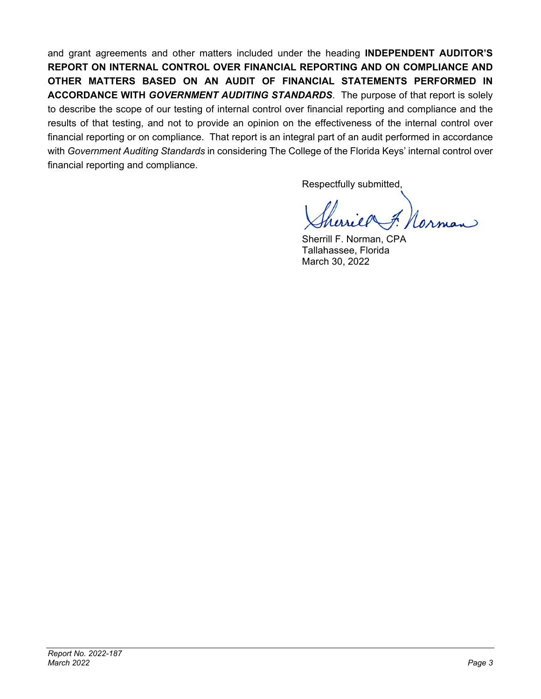and grant agreements and other matters included under the heading **INDEPENDENT AUDITOR'S REPORT ON INTERNAL CONTROL OVER FINANCIAL REPORTING AND ON COMPLIANCE AND OTHER MATTERS BASED ON AN AUDIT OF FINANCIAL STATEMENTS PERFORMED IN ACCORDANCE WITH** *GOVERNMENT AUDITING STANDARDS*. The purpose of that report is solely to describe the scope of our testing of internal control over financial reporting and compliance and the results of that testing, and not to provide an opinion on the effectiveness of the internal control over financial reporting or on compliance. That report is an integral part of an audit performed in accordance with *Government Auditing Standards* in considering The College of the Florida Keys' internal control over financial reporting and compliance.

Respectfully submitted,

Sherrill F. Norman, CPA Tallahassee, Florida March 30, 2022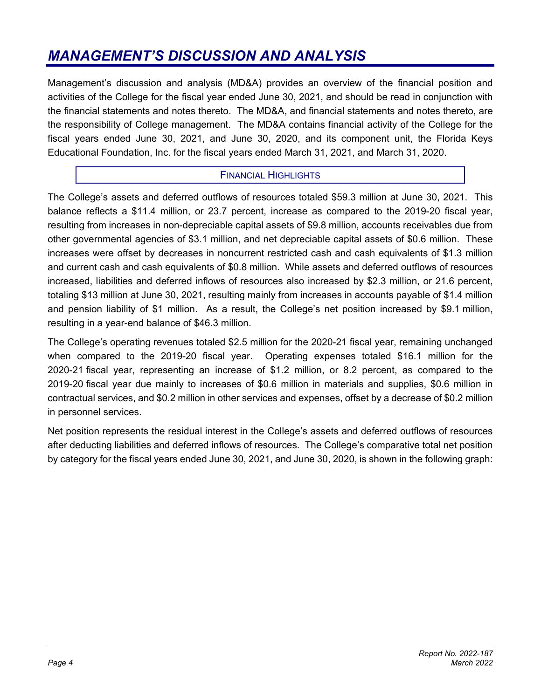# <span id="page-7-0"></span>*MANAGEMENT'S DISCUSSION AND ANALYSIS*

Management's discussion and analysis (MD&A) provides an overview of the financial position and activities of the College for the fiscal year ended June 30, 2021, and should be read in conjunction with the financial statements and notes thereto. The MD&A, and financial statements and notes thereto, are the responsibility of College management. The MD&A contains financial activity of the College for the fiscal years ended June 30, 2021, and June 30, 2020, and its component unit, the Florida Keys Educational Foundation, Inc. for the fiscal years ended March 31, 2021, and March 31, 2020.

# FINANCIAL HIGHLIGHTS

The College's assets and deferred outflows of resources totaled \$59.3 million at June 30, 2021. This balance reflects a \$11.4 million, or 23.7 percent, increase as compared to the 2019-20 fiscal year, resulting from increases in non-depreciable capital assets of \$9.8 million, accounts receivables due from other governmental agencies of \$3.1 million, and net depreciable capital assets of \$0.6 million. These increases were offset by decreases in noncurrent restricted cash and cash equivalents of \$1.3 million and current cash and cash equivalents of \$0.8 million. While assets and deferred outflows of resources increased, liabilities and deferred inflows of resources also increased by \$2.3 million, or 21.6 percent, totaling \$13 million at June 30, 2021, resulting mainly from increases in accounts payable of \$1.4 million and pension liability of \$1 million. As a result, the College's net position increased by \$9.1 million, resulting in a year-end balance of \$46.3 million.

The College's operating revenues totaled \$2.5 million for the 2020-21 fiscal year, remaining unchanged when compared to the 2019-20 fiscal year. Operating expenses totaled \$16.1 million for the 2020-21 fiscal year, representing an increase of \$1.2 million, or 8.2 percent, as compared to the 2019-20 fiscal year due mainly to increases of \$0.6 million in materials and supplies, \$0.6 million in contractual services, and \$0.2 million in other services and expenses, offset by a decrease of \$0.2 million in personnel services.

Net position represents the residual interest in the College's assets and deferred outflows of resources after deducting liabilities and deferred inflows of resources. The College's comparative total net position by category for the fiscal years ended June 30, 2021, and June 30, 2020, is shown in the following graph: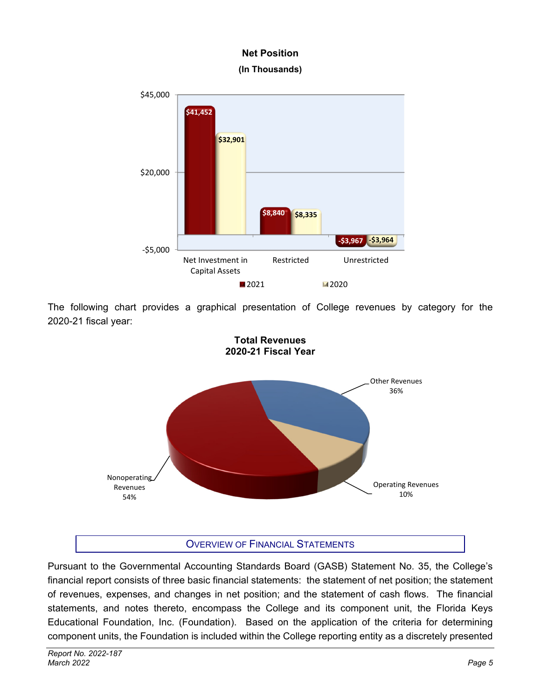**Net Position (In Thousands)** 



The following chart provides a graphical presentation of College revenues by category for the 2020-21 fiscal year:



# OVERVIEW OF FINANCIAL STATEMENTS

Pursuant to the Governmental Accounting Standards Board (GASB) Statement No. 35, the College's financial report consists of three basic financial statements: the statement of net position; the statement of revenues, expenses, and changes in net position; and the statement of cash flows. The financial statements, and notes thereto, encompass the College and its component unit, the Florida Keys Educational Foundation, Inc. (Foundation). Based on the application of the criteria for determining component units, the Foundation is included within the College reporting entity as a discretely presented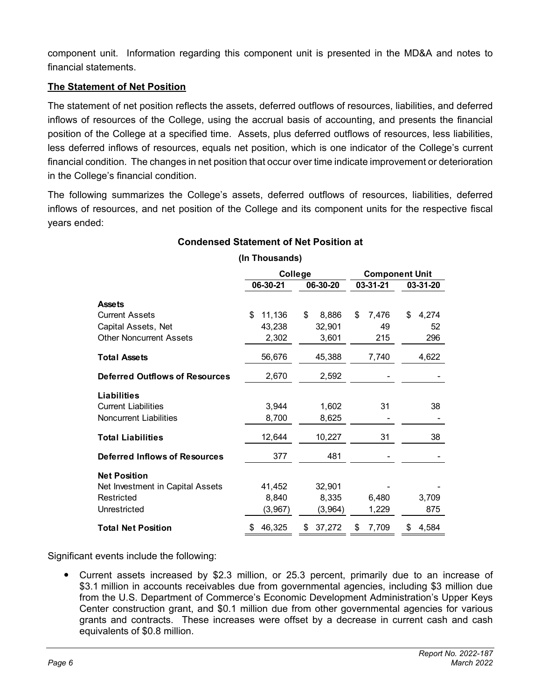component unit. Information regarding this component unit is presented in the MD&A and notes to financial statements.

# **The Statement of Net Position**

The statement of net position reflects the assets, deferred outflows of resources, liabilities, and deferred inflows of resources of the College, using the accrual basis of accounting, and presents the financial position of the College at a specified time. Assets, plus deferred outflows of resources, less liabilities, less deferred inflows of resources, equals net position, which is one indicator of the College's current financial condition. The changes in net position that occur over time indicate improvement or deterioration in the College's financial condition.

The following summarizes the College's assets, deferred outflows of resources, liabilities, deferred inflows of resources, and net position of the College and its component units for the respective fiscal years ended:

# **Condensed Statement of Net Position at**

|                                       | College      |              | <b>Component Unit</b> |             |  |  |
|---------------------------------------|--------------|--------------|-----------------------|-------------|--|--|
|                                       | 06-30-21     | 06-30-20     | 03-31-21              | 03-31-20    |  |  |
| <b>Assets</b>                         |              |              |                       |             |  |  |
| <b>Current Assets</b>                 | \$<br>11,136 | \$<br>8,886  | \$<br>7,476           | \$<br>4,274 |  |  |
| Capital Assets, Net                   | 43,238       | 32,901       | 49                    | 52          |  |  |
| <b>Other Noncurrent Assets</b>        | 2,302        | 3,601        | 215                   | 296         |  |  |
| <b>Total Assets</b>                   | 56,676       | 45,388       | 7,740                 | 4,622       |  |  |
| <b>Deferred Outflows of Resources</b> | 2,670        | 2,592        |                       |             |  |  |
| Liabilities                           |              |              |                       |             |  |  |
| <b>Current Liabilities</b>            | 3,944        | 1,602        | 31                    | 38          |  |  |
| <b>Noncurrent Liabilities</b>         | 8,700        | 8,625        |                       |             |  |  |
| <b>Total Liabilities</b>              | 12,644       | 10,227       | 31                    | 38          |  |  |
| <b>Deferred Inflows of Resources</b>  | 377          | 481          |                       |             |  |  |
| <b>Net Position</b>                   |              |              |                       |             |  |  |
| Net Investment in Capital Assets      | 41,452       | 32,901       |                       |             |  |  |
| Restricted                            | 8,840        | 8,335        | 6,480                 | 3,709       |  |  |
| Unrestricted                          | (3,967)      | (3,964)      | 1,229                 | 875         |  |  |
| <b>Total Net Position</b>             | 46,325<br>\$ | 37,272<br>\$ | 7,709<br>S            | 4,584<br>\$ |  |  |

**(In Thousands)** 

Significant events include the following:

 Current assets increased by \$2.3 million, or 25.3 percent, primarily due to an increase of \$3.1 million in accounts receivables due from governmental agencies, including \$3 million due from the U.S. Department of Commerce's Economic Development Administration's Upper Keys Center construction grant, and \$0.1 million due from other governmental agencies for various grants and contracts. These increases were offset by a decrease in current cash and cash equivalents of \$0.8 million.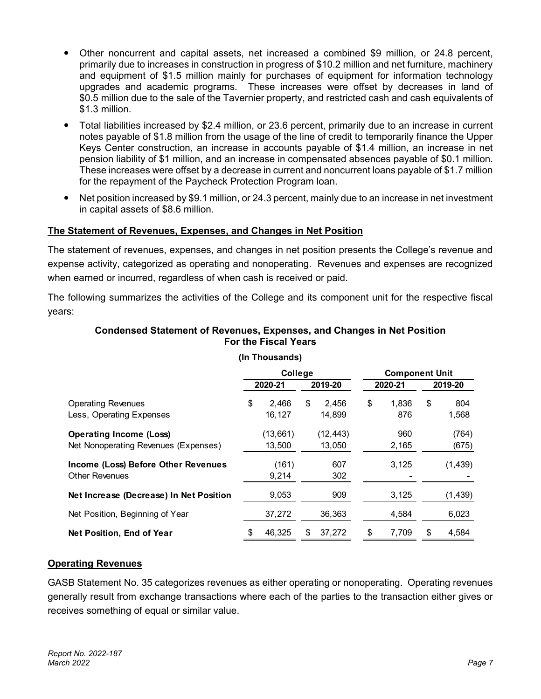- Other noncurrent and capital assets, net increased a combined \$9 million, or 24.8 percent, primarily due to increases in construction in progress of \$10.2 million and net furniture, machinery and equipment of \$1.5 million mainly for purchases of equipment for information technology upgrades and academic programs. These increases were offset by decreases in land of \$0.5 million due to the sale of the Tavernier property, and restricted cash and cash equivalents of \$1.3 million.
- Total liabilities increased by \$2.4 million, or 23.6 percent, primarily due to an increase in current notes payable of \$1.8 million from the usage of the line of credit to temporarily finance the Upper Keys Center construction, an increase in accounts payable of \$1.4 million, an increase in net pension liability of \$1 million, and an increase in compensated absences payable of \$0.1 million. These increases were offset by a decrease in current and noncurrent loans payable of \$1.7 million for the repayment of the Paycheck Protection Program loan.
- Net position increased by \$9.1 million, or 24.3 percent, mainly due to an increase in net investment in capital assets of \$8.6 million.

# **The Statement of Revenues, Expenses, and Changes in Net Position**

The statement of revenues, expenses, and changes in net position presents the College's revenue and expense activity, categorized as operating and nonoperating. Revenues and expenses are recognized when earned or incurred, regardless of when cash is received or paid.

The following summarizes the activities of the College and its component unit for the respective fiscal years:

### **Condensed Statement of Revenues, Expenses, and Changes in Net Position For the Fiscal Years**

|                                                                        | College |                     |         | <b>Component Unit</b> |         |              |         |                |
|------------------------------------------------------------------------|---------|---------------------|---------|-----------------------|---------|--------------|---------|----------------|
|                                                                        |         | 2020-21             | 2019-20 |                       | 2020-21 |              | 2019-20 |                |
| <b>Operating Revenues</b><br>Less, Operating Expenses                  | \$      | 2.466<br>16,127     | \$      | 2.456<br>14,899       | \$      | 1,836<br>876 | \$      | 804<br>1,568   |
| <b>Operating Income (Loss)</b><br>Net Nonoperating Revenues (Expenses) |         | (13, 661)<br>13,500 |         | (12, 443)<br>13,050   |         | 960<br>2,165 |         | (764)<br>(675) |
| Income (Loss) Before Other Revenues<br><b>Other Revenues</b>           |         | (161)<br>9,214      |         | 607<br>302            |         | 3,125        |         | (1, 439)       |
| Net Increase (Decrease) In Net Position                                |         | 9,053               |         | 909                   |         | 3,125        |         | (1, 439)       |
| Net Position, Beginning of Year                                        |         | 37,272              |         | 36,363                |         | 4,584        |         | 6,023          |
| <b>Net Position, End of Year</b>                                       | \$      | 46.325              | S       | 37.272                | \$      | 7.709        | \$      | 4.584          |

**(In Thousands)** 

### **Operating Revenues**

GASB Statement No. 35 categorizes revenues as either operating or nonoperating. Operating revenues generally result from exchange transactions where each of the parties to the transaction either gives or receives something of equal or similar value.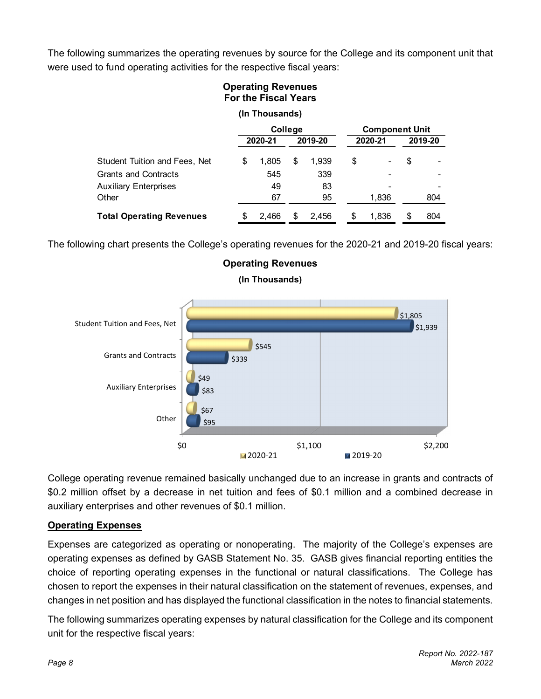The following summarizes the operating revenues by source for the College and its component unit that were used to fund operating activities for the respective fiscal years:

# **Operating Revenues For the Fiscal Years**

**(In Thousands)** 

|                                      | College |         |    |         | <b>Component Unit</b> |       |   |         |  |  |         |  |
|--------------------------------------|---------|---------|----|---------|-----------------------|-------|---|---------|--|--|---------|--|
|                                      |         | 2020-21 |    | 2019-20 |                       |       |   | 2020-21 |  |  | 2019-20 |  |
| <b>Student Tuition and Fees, Net</b> | S       | 1.805   | S  | 1.939   | \$                    |       | S | ۰       |  |  |         |  |
| <b>Grants and Contracts</b>          |         | 545     |    | 339     |                       |       |   | -       |  |  |         |  |
| <b>Auxiliary Enterprises</b>         |         | 49      |    | 83      |                       |       |   |         |  |  |         |  |
| Other                                |         | 67      |    | 95      |                       | 1.836 |   | 804     |  |  |         |  |
| <b>Total Operating Revenues</b>      | S       | 2.466   | \$ | 2.456   | S                     | 1.836 | S | 804     |  |  |         |  |

The following chart presents the College's operating revenues for the 2020-21 and 2019-20 fiscal years:



**Operating Revenues (In Thousands)** 

College operating revenue remained basically unchanged due to an increase in grants and contracts of \$0.2 million offset by a decrease in net tuition and fees of \$0.1 million and a combined decrease in auxiliary enterprises and other revenues of \$0.1 million.

# **Operating Expenses**

Expenses are categorized as operating or nonoperating. The majority of the College's expenses are operating expenses as defined by GASB Statement No. 35. GASB gives financial reporting entities the choice of reporting operating expenses in the functional or natural classifications. The College has chosen to report the expenses in their natural classification on the statement of revenues, expenses, and changes in net position and has displayed the functional classification in the notes to financial statements.

The following summarizes operating expenses by natural classification for the College and its component unit for the respective fiscal years: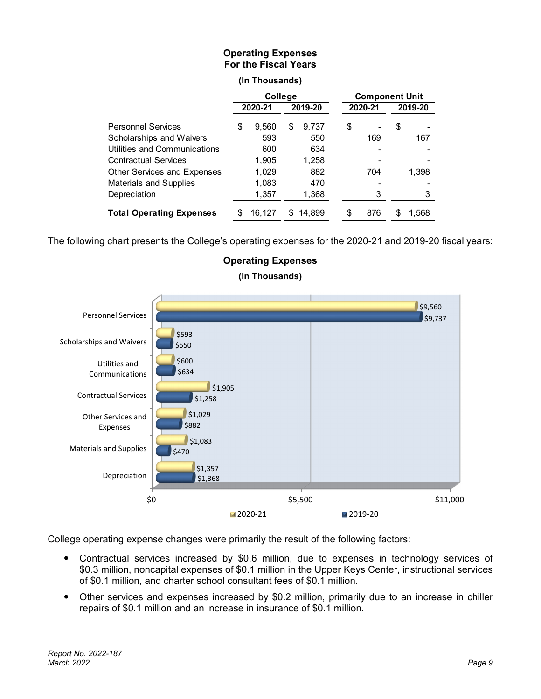# **Operating Expenses For the Fiscal Years**

### **(In Thousands)**

|                                 | College |        |    |         | <b>Component Unit</b> |         |     |    |         |  |
|---------------------------------|---------|--------|----|---------|-----------------------|---------|-----|----|---------|--|
|                                 | 2020-21 |        |    | 2019-20 |                       | 2020-21 |     |    | 2019-20 |  |
| <b>Personnel Services</b>       | \$      | 9,560  | \$ | 9,737   |                       | \$      |     | \$ |         |  |
| Scholarships and Waivers        |         | 593    |    | 550     |                       |         | 169 |    | 167     |  |
| Utilities and Communications    |         | 600    |    | 634     |                       |         |     |    |         |  |
| <b>Contractual Services</b>     |         | 1,905  |    | 1,258   |                       |         |     |    |         |  |
| Other Services and Expenses     |         | 1,029  |    | 882     |                       |         | 704 |    | 1,398   |  |
| <b>Materials and Supplies</b>   |         | 1,083  |    | 470     |                       |         |     |    |         |  |
| Depreciation                    |         | 1,357  |    | 1,368   |                       |         | 3   |    |         |  |
| <b>Total Operating Expenses</b> | \$.     | 16,127 | S. | 14,899  |                       | \$      | 876 | S  | 1,568   |  |

The following chart presents the College's operating expenses for the 2020-21 and 2019-20 fiscal years:



# **Operating Expenses (In Thousands)**

College operating expense changes were primarily the result of the following factors:

- Contractual services increased by \$0.6 million, due to expenses in technology services of \$0.3 million, noncapital expenses of \$0.1 million in the Upper Keys Center, instructional services of \$0.1 million, and charter school consultant fees of \$0.1 million.
- Other services and expenses increased by \$0.2 million, primarily due to an increase in chiller repairs of \$0.1 million and an increase in insurance of \$0.1 million.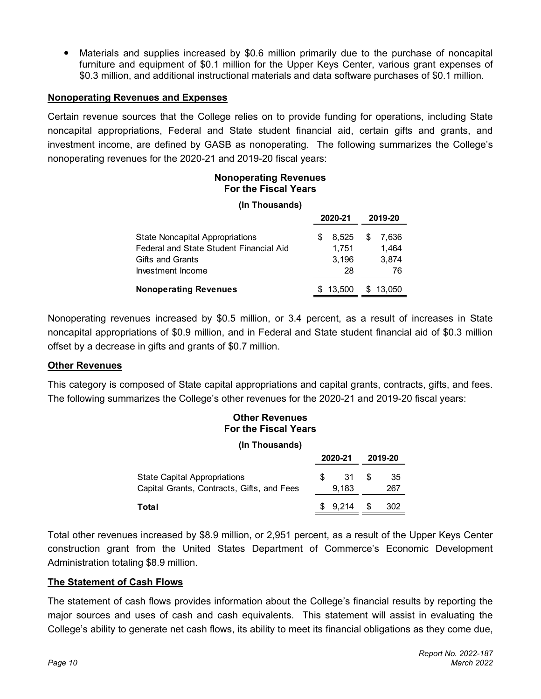Materials and supplies increased by \$0.6 million primarily due to the purchase of noncapital furniture and equipment of \$0.1 million for the Upper Keys Center, various grant expenses of \$0.3 million, and additional instructional materials and data software purchases of \$0.1 million.

### **Nonoperating Revenues and Expenses**

Certain revenue sources that the College relies on to provide funding for operations, including State noncapital appropriations, Federal and State student financial aid, certain gifts and grants, and investment income, are defined by GASB as nonoperating. The following summarizes the College's nonoperating revenues for the 2020-21 and 2019-20 fiscal years:

# **Nonoperating Revenues For the Fiscal Years**

### **(In Thousands)**

|                                                                                   |     | 2020-21        | 2019-20              |
|-----------------------------------------------------------------------------------|-----|----------------|----------------------|
| <b>State Noncapital Appropriations</b><br>Federal and State Student Financial Aid | \$. | 8.525<br>1.751 | \$<br>7.636<br>1.464 |
| Gifts and Grants<br>Investment Income                                             |     | 3.196<br>28    | 3.874<br>76          |
| <b>Nonoperating Revenues</b>                                                      |     | \$13.500       | 13.050               |

Nonoperating revenues increased by \$0.5 million, or 3.4 percent, as a result of increases in State noncapital appropriations of \$0.9 million, and in Federal and State student financial aid of \$0.3 million offset by a decrease in gifts and grants of \$0.7 million.

### **Other Revenues**

This category is composed of State capital appropriations and capital grants, contracts, gifts, and fees. The following summarizes the College's other revenues for the 2020-21 and 2019-20 fiscal years:

# **Other Revenues For the Fiscal Years**

**(In Thousands)** 

|                                                                                   |         | 2020-21     | 2019-20 |           |  |
|-----------------------------------------------------------------------------------|---------|-------------|---------|-----------|--|
| <b>State Capital Appropriations</b><br>Capital Grants, Contracts, Gifts, and Fees | S.      | 31<br>9.183 | \$.     | 35<br>267 |  |
| Total                                                                             | \$9,214 |             | \$.     | 302       |  |

Total other revenues increased by \$8.9 million, or 2,951 percent, as a result of the Upper Keys Center construction grant from the United States Department of Commerce's Economic Development Administration totaling \$8.9 million.

# **The Statement of Cash Flows**

The statement of cash flows provides information about the College's financial results by reporting the major sources and uses of cash and cash equivalents. This statement will assist in evaluating the College's ability to generate net cash flows, its ability to meet its financial obligations as they come due,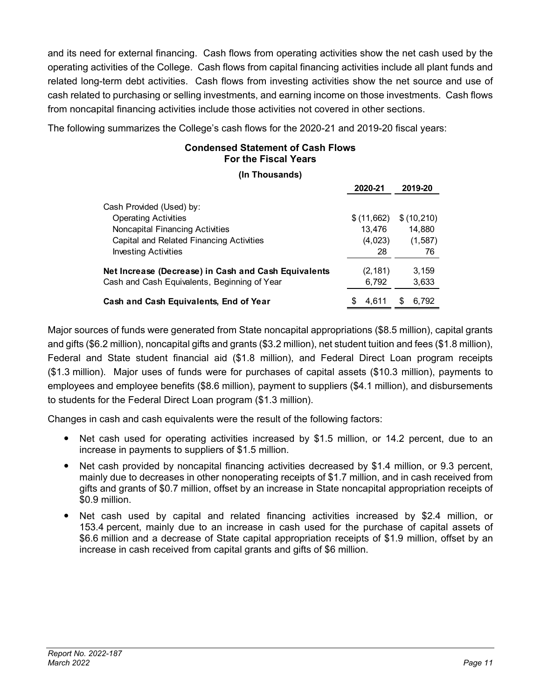and its need for external financing. Cash flows from operating activities show the net cash used by the operating activities of the College. Cash flows from capital financing activities include all plant funds and related long-term debt activities. Cash flows from investing activities show the net source and use of cash related to purchasing or selling investments, and earning income on those investments. Cash flows from noncapital financing activities include those activities not covered in other sections.

The following summarizes the College's cash flows for the 2020-21 and 2019-20 fiscal years:

# **Condensed Statement of Cash Flows For the Fiscal Years**

### **(In Thousands)**

|                                                      |   | 2020-21    |   | 2019-20    |
|------------------------------------------------------|---|------------|---|------------|
| Cash Provided (Used) by:                             |   |            |   |            |
| <b>Operating Activities</b>                          |   | \$(11,662) |   | \$(10,210) |
| <b>Noncapital Financing Activities</b>               |   | 13.476     |   | 14.880     |
| Capital and Related Financing Activities             |   | (4,023)    |   | (1, 587)   |
| <b>Investing Activities</b>                          |   | 28         |   | 76         |
| Net Increase (Decrease) in Cash and Cash Equivalents |   | (2, 181)   |   | 3.159      |
| Cash and Cash Equivalents, Beginning of Year         |   | 6,792      |   | 3,633      |
| Cash and Cash Equivalents, End of Year               | S | 4.611      | S | 6.792      |

Major sources of funds were generated from State noncapital appropriations (\$8.5 million), capital grants and gifts (\$6.2 million), noncapital gifts and grants (\$3.2 million), net student tuition and fees (\$1.8 million), Federal and State student financial aid (\$1.8 million), and Federal Direct Loan program receipts (\$1.3 million). Major uses of funds were for purchases of capital assets (\$10.3 million), payments to employees and employee benefits (\$8.6 million), payment to suppliers (\$4.1 million), and disbursements to students for the Federal Direct Loan program (\$1.3 million).

Changes in cash and cash equivalents were the result of the following factors:

- Net cash used for operating activities increased by \$1.5 million, or 14.2 percent, due to an increase in payments to suppliers of \$1.5 million.
- Net cash provided by noncapital financing activities decreased by \$1.4 million, or 9.3 percent, mainly due to decreases in other nonoperating receipts of \$1.7 million, and in cash received from gifts and grants of \$0.7 million, offset by an increase in State noncapital appropriation receipts of \$0.9 million.
- Net cash used by capital and related financing activities increased by \$2.4 million, or 153.4 percent, mainly due to an increase in cash used for the purchase of capital assets of \$6.6 million and a decrease of State capital appropriation receipts of \$1.9 million, offset by an increase in cash received from capital grants and gifts of \$6 million.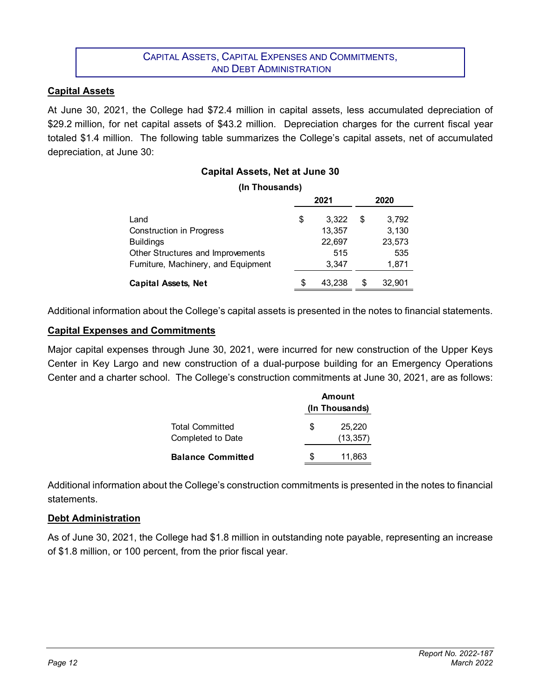### CAPITAL ASSETS, CAPITAL EXPENSES AND COMMITMENTS, AND DEBT ADMINISTRATION

# **Capital Assets**

At June 30, 2021, the College had \$72.4 million in capital assets, less accumulated depreciation of \$29.2 million, for net capital assets of \$43.2 million. Depreciation charges for the current fiscal year totaled \$1.4 million. The following table summarizes the College's capital assets, net of accumulated depreciation, at June 30:

# **Capital Assets, Net at June 30**

### **(In Thousands)**

|                                     | 2021 |        | 2020         |
|-------------------------------------|------|--------|--------------|
| Land                                | \$   | 3.322  | \$<br>3,792  |
| <b>Construction in Progress</b>     |      | 13,357 | 3,130        |
| <b>Buildings</b>                    |      | 22,697 | 23,573       |
| Other Structures and Improvements   |      | 515    | 535          |
| Furniture, Machinery, and Equipment |      | 3,347  | 1,871        |
| <b>Capital Assets, Net</b>          | S    | 43,238 | \$<br>32,901 |

Additional information about the College's capital assets is presented in the notes to financial statements.

# **Capital Expenses and Commitments**

Major capital expenses through June 30, 2021, were incurred for new construction of the Upper Keys Center in Key Largo and new construction of a dual-purpose building for an Emergency Operations Center and a charter school. The College's construction commitments at June 30, 2021, are as follows:

|                                             | <b>Amount</b><br>(In Thousands) |                     |  |  |
|---------------------------------------------|---------------------------------|---------------------|--|--|
| <b>Total Committed</b><br>Completed to Date | S                               | 25,220<br>(13, 357) |  |  |
| <b>Balance Committed</b>                    | \$                              | 11,863              |  |  |

Additional information about the College's construction commitments is presented in the notes to financial statements.

### **Debt Administration**

As of June 30, 2021, the College had \$1.8 million in outstanding note payable, representing an increase of \$1.8 million, or 100 percent, from the prior fiscal year.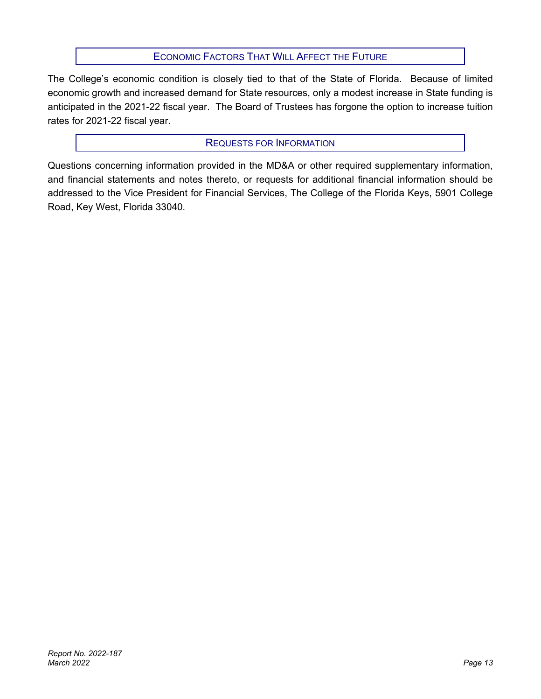# ECONOMIC FACTORS THAT WILL AFFECT THE FUTURE

The College's economic condition is closely tied to that of the State of Florida. Because of limited economic growth and increased demand for State resources, only a modest increase in State funding is anticipated in the 2021-22 fiscal year. The Board of Trustees has forgone the option to increase tuition rates for 2021-22 fiscal year.

# REQUESTS FOR INFORMATION

Questions concerning information provided in the MD&A or other required supplementary information, and financial statements and notes thereto, or requests for additional financial information should be addressed to the Vice President for Financial Services, The College of the Florida Keys, 5901 College Road, Key West, Florida 33040**.**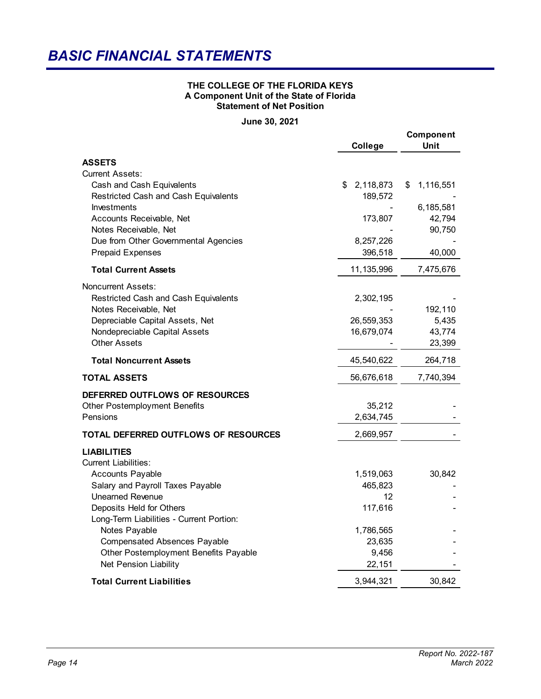# <span id="page-17-0"></span>*BASIC FINANCIAL STATEMENTS*

### **THE COLLEGE OF THE FLORIDA KEYS A Component Unit of the State of Florida Statement of Net Position**

**June 30, 2021** 

|                                                               | College         | Component<br><b>Unit</b> |
|---------------------------------------------------------------|-----------------|--------------------------|
| <b>ASSETS</b>                                                 |                 |                          |
| <b>Current Assets:</b>                                        |                 |                          |
| Cash and Cash Equivalents                                     | \$<br>2,118,873 | \$<br>1,116,551          |
| Restricted Cash and Cash Equivalents                          | 189,572         |                          |
| Investments                                                   |                 | 6,185,581                |
| Accounts Receivable, Net                                      | 173,807         | 42,794                   |
| Notes Receivable, Net<br>Due from Other Governmental Agencies | 8,257,226       | 90,750                   |
| <b>Prepaid Expenses</b>                                       | 396,518         | 40,000                   |
|                                                               |                 |                          |
| <b>Total Current Assets</b>                                   | 11,135,996      | 7,475,676                |
| <b>Noncurrent Assets:</b>                                     |                 |                          |
| Restricted Cash and Cash Equivalents                          | 2,302,195       |                          |
| Notes Receivable, Net                                         |                 | 192,110                  |
| Depreciable Capital Assets, Net                               | 26,559,353      | 5,435                    |
| Nondepreciable Capital Assets                                 | 16,679,074      | 43,774                   |
| <b>Other Assets</b>                                           |                 | 23,399                   |
| <b>Total Noncurrent Assets</b>                                | 45,540,622      | 264,718                  |
| <b>TOTAL ASSETS</b>                                           | 56,676,618      | 7,740,394                |
| DEFERRED OUTFLOWS OF RESOURCES                                |                 |                          |
| <b>Other Postemployment Benefits</b>                          | 35,212          |                          |
| Pensions                                                      | 2,634,745       |                          |
| TOTAL DEFERRED OUTFLOWS OF RESOURCES                          | 2,669,957       |                          |
| <b>LIABILITIES</b>                                            |                 |                          |
| <b>Current Liabilities:</b>                                   |                 |                          |
| <b>Accounts Payable</b>                                       | 1,519,063       | 30,842                   |
| Salary and Payroll Taxes Payable                              | 465,823         |                          |
| <b>Unearned Revenue</b><br>Deposits Held for Others           | 12<br>117,616   |                          |
| Long-Term Liabilities - Current Portion:                      |                 |                          |
| Notes Payable                                                 | 1,786,565       |                          |
| <b>Compensated Absences Payable</b>                           | 23,635          |                          |
| Other Postemployment Benefits Payable                         | 9,456           |                          |
| Net Pension Liability                                         | 22,151          |                          |
| <b>Total Current Liabilities</b>                              | 3,944,321       | 30,842                   |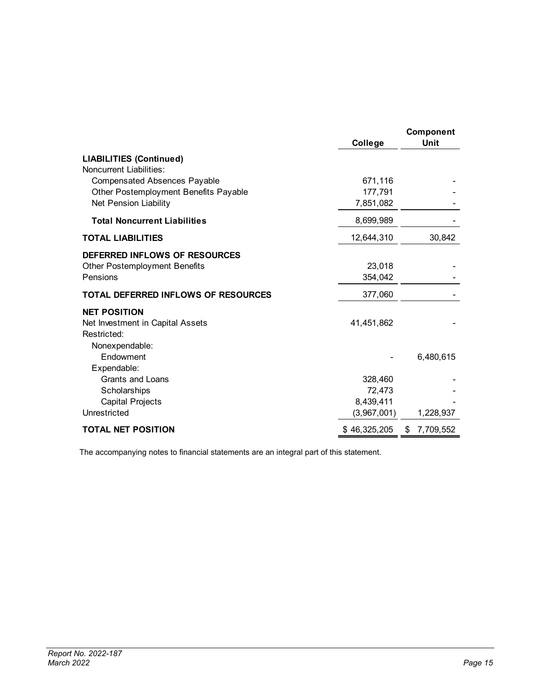|                                                                                                       | College                            | <b>Component</b><br>Unit |
|-------------------------------------------------------------------------------------------------------|------------------------------------|--------------------------|
| <b>LIABILITIES (Continued)</b><br>Noncurrent Liabilities:                                             |                                    |                          |
| <b>Compensated Absences Payable</b><br>Other Postemployment Benefits Payable<br>Net Pension Liability | 671,116<br>177,791<br>7,851,082    |                          |
| <b>Total Noncurrent Liabilities</b>                                                                   | 8,699,989                          |                          |
| <b>TOTAL LIABILITIES</b>                                                                              | 12,644,310                         | 30,842                   |
| DEFERRED INFLOWS OF RESOURCES<br><b>Other Postemployment Benefits</b><br>Pensions                     | 23,018<br>354,042                  |                          |
| <b>TOTAL DEFERRED INFLOWS OF RESOURCES</b>                                                            | 377,060                            |                          |
| <b>NET POSITION</b><br>Net Investment in Capital Assets<br>Restricted:<br>Nonexpendable:              | 41,451,862                         |                          |
| Endowment<br>Expendable:                                                                              |                                    | 6,480,615                |
| Grants and Loans                                                                                      | 328,460                            |                          |
| Scholarships<br>Capital Projects<br>Unrestricted                                                      | 72,473<br>8,439,411<br>(3,967,001) | 1,228,937                |
| <b>TOTAL NET POSITION</b>                                                                             | \$46,325,205                       | 7,709,552<br>\$          |

The accompanying notes to financial statements are an integral part of this statement.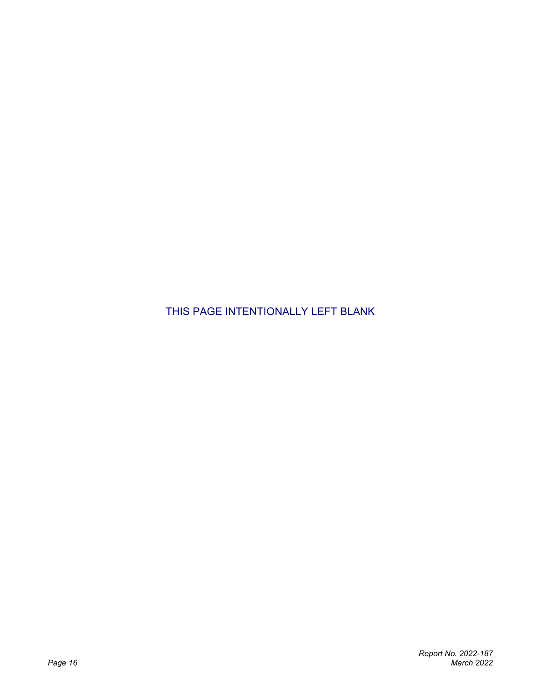THIS PAGE INTENTIONALLY LEFT BLANK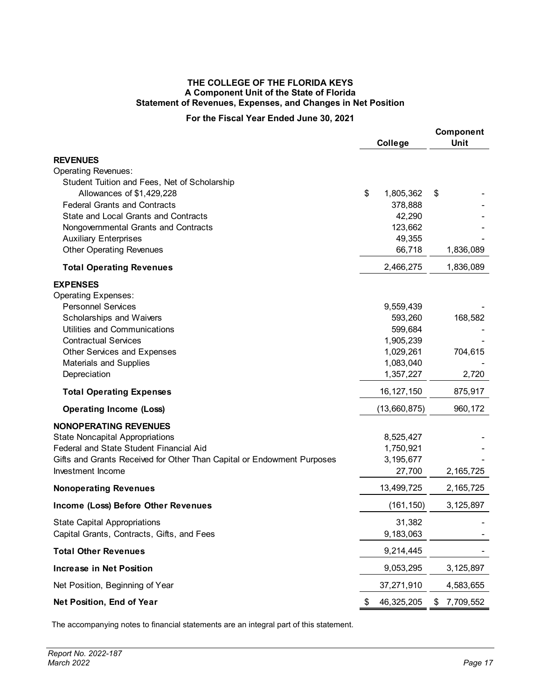### **THE COLLEGE OF THE FLORIDA KEYS A Component Unit of the State of Florida Statement of Revenues, Expenses, and Changes in Net Position**

### **For the Fiscal Year Ended June 30, 2021**

<span id="page-20-0"></span>

|                                                                                                                                                                                                                                                                                                                      | College                                                             | Component<br>Unit |
|----------------------------------------------------------------------------------------------------------------------------------------------------------------------------------------------------------------------------------------------------------------------------------------------------------------------|---------------------------------------------------------------------|-------------------|
| <b>REVENUES</b><br><b>Operating Revenues:</b><br>Student Tuition and Fees, Net of Scholarship<br>Allowances of \$1,429,228<br><b>Federal Grants and Contracts</b><br>State and Local Grants and Contracts<br>Nongovernmental Grants and Contracts<br><b>Auxiliary Enterprises</b><br><b>Other Operating Revenues</b> | \$<br>1,805,362<br>378,888<br>42,290<br>123,662<br>49,355<br>66,718 | \$<br>1,836,089   |
| <b>Total Operating Revenues</b>                                                                                                                                                                                                                                                                                      | 2,466,275                                                           | 1,836,089         |
| <b>EXPENSES</b><br><b>Operating Expenses:</b><br><b>Personnel Services</b><br>Scholarships and Waivers<br>Utilities and Communications                                                                                                                                                                               | 9,559,439<br>593,260<br>599,684                                     | 168,582           |
| <b>Contractual Services</b><br>Other Services and Expenses<br><b>Materials and Supplies</b><br>Depreciation                                                                                                                                                                                                          | 1,905,239<br>1,029,261<br>1,083,040<br>1,357,227                    | 704,615<br>2,720  |
| <b>Total Operating Expenses</b>                                                                                                                                                                                                                                                                                      | 16, 127, 150                                                        | 875,917           |
| <b>Operating Income (Loss)</b>                                                                                                                                                                                                                                                                                       | (13,660,875)                                                        | 960,172           |
| <b>NONOPERATING REVENUES</b><br><b>State Noncapital Appropriations</b><br>Federal and State Student Financial Aid<br>Gifts and Grants Received for Other Than Capital or Endowment Purposes<br>Investment Income                                                                                                     | 8,525,427<br>1,750,921<br>3,195,677<br>27,700                       | 2, 165, 725       |
| <b>Nonoperating Revenues</b>                                                                                                                                                                                                                                                                                         | 13,499,725                                                          | 2, 165, 725       |
| Income (Loss) Before Other Revenues                                                                                                                                                                                                                                                                                  | (161, 150)                                                          | 3,125,897         |
| <b>State Capital Appropriations</b><br>Capital Grants, Contracts, Gifts, and Fees                                                                                                                                                                                                                                    | 31,382<br>9,183,063                                                 |                   |
| <b>Total Other Revenues</b>                                                                                                                                                                                                                                                                                          | 9,214,445                                                           |                   |
| <b>Increase in Net Position</b>                                                                                                                                                                                                                                                                                      | 9,053,295                                                           | 3,125,897         |
| Net Position, Beginning of Year                                                                                                                                                                                                                                                                                      | 37,271,910                                                          | 4,583,655         |
| Net Position, End of Year                                                                                                                                                                                                                                                                                            | \$<br>46,325,205                                                    | 7,709,552<br>\$.  |

The accompanying notes to financial statements are an integral part of this statement.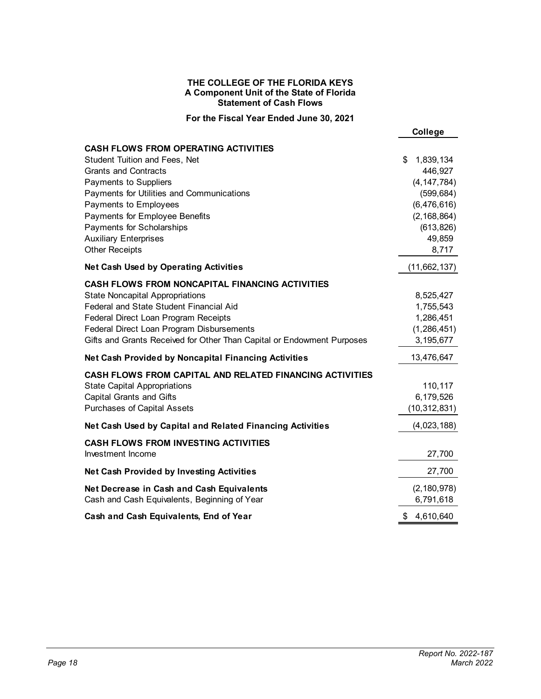### **THE COLLEGE OF THE FLORIDA KEYS A Component Unit of the State of Florida Statement of Cash Flows**

**For the Fiscal Year Ended June 30, 2021** 

<span id="page-21-0"></span>

|                                                                        | College         |
|------------------------------------------------------------------------|-----------------|
| <b>CASH FLOWS FROM OPERATING ACTIVITIES</b>                            |                 |
| Student Tuition and Fees, Net                                          | \$<br>1,839,134 |
| <b>Grants and Contracts</b>                                            | 446,927         |
| Payments to Suppliers                                                  | (4, 147, 784)   |
| Payments for Utilities and Communications                              | (599, 684)      |
| Payments to Employees                                                  | (6, 476, 616)   |
| Payments for Employee Benefits                                         | (2, 168, 864)   |
| Payments for Scholarships                                              | (613, 826)      |
| <b>Auxiliary Enterprises</b>                                           | 49,859          |
| <b>Other Receipts</b>                                                  | 8,717           |
| <b>Net Cash Used by Operating Activities</b>                           | (11, 662, 137)  |
| <b>CASH FLOWS FROM NONCAPITAL FINANCING ACTIVITIES</b>                 |                 |
| <b>State Noncapital Appropriations</b>                                 | 8,525,427       |
| Federal and State Student Financial Aid                                | 1,755,543       |
| Federal Direct Loan Program Receipts                                   | 1,286,451       |
| Federal Direct Loan Program Disbursements                              | (1, 286, 451)   |
| Gifts and Grants Received for Other Than Capital or Endowment Purposes | 3,195,677       |
| <b>Net Cash Provided by Noncapital Financing Activities</b>            | 13,476,647      |
| <b>CASH FLOWS FROM CAPITAL AND RELATED FINANCING ACTIVITIES</b>        |                 |
| <b>State Capital Appropriations</b>                                    | 110,117         |
| <b>Capital Grants and Gifts</b>                                        | 6,179,526       |
| <b>Purchases of Capital Assets</b>                                     | (10, 312, 831)  |
| Net Cash Used by Capital and Related Financing Activities              | (4,023,188)     |
| <b>CASH FLOWS FROM INVESTING ACTIVITIES</b>                            |                 |
| Investment Income                                                      | 27,700          |
| <b>Net Cash Provided by Investing Activities</b>                       | 27,700          |
| Net Decrease in Cash and Cash Equivalents                              | (2, 180, 978)   |
| Cash and Cash Equivalents, Beginning of Year                           | 6,791,618       |
| Cash and Cash Equivalents, End of Year                                 | \$4,610,640     |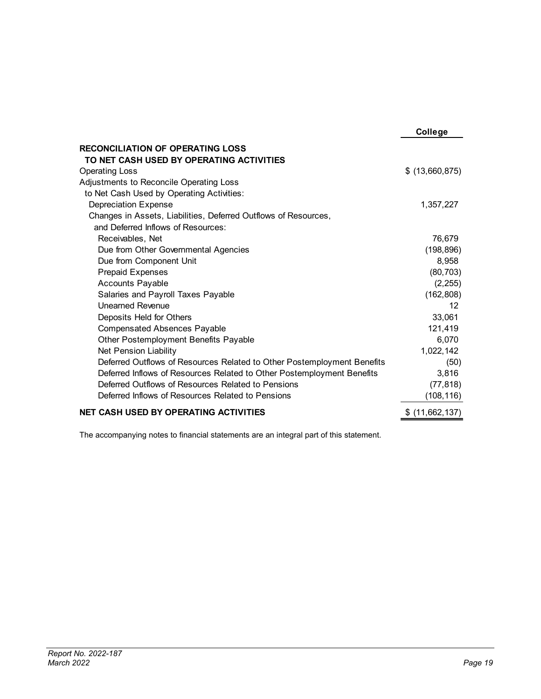|                                                                         | College         |
|-------------------------------------------------------------------------|-----------------|
| <b>RECONCILIATION OF OPERATING LOSS</b>                                 |                 |
| TO NET CASH USED BY OPERATING ACTIVITIES                                |                 |
| <b>Operating Loss</b>                                                   | \$ (13,660,875) |
| Adjustments to Reconcile Operating Loss                                 |                 |
| to Net Cash Used by Operating Activities:                               |                 |
| <b>Depreciation Expense</b>                                             | 1,357,227       |
| Changes in Assets, Liabilities, Deferred Outflows of Resources,         |                 |
| and Deferred Inflows of Resources:                                      |                 |
| Receivables, Net                                                        | 76,679          |
| Due from Other Governmental Agencies                                    | (198, 896)      |
| Due from Component Unit                                                 | 8,958           |
| <b>Prepaid Expenses</b>                                                 | (80, 703)       |
| <b>Accounts Payable</b>                                                 | (2, 255)        |
| Salaries and Payroll Taxes Payable                                      | (162, 808)      |
| Unearned Revenue                                                        | 12              |
| Deposits Held for Others                                                | 33,061          |
| <b>Compensated Absences Payable</b>                                     | 121,419         |
| Other Postemployment Benefits Payable                                   | 6,070           |
| Net Pension Liability                                                   | 1,022,142       |
| Deferred Outflows of Resources Related to Other Postemployment Benefits | (50)            |
| Deferred Inflows of Resources Related to Other Postemployment Benefits  | 3,816           |
| Deferred Outflows of Resources Related to Pensions                      | (77, 818)       |
| Deferred Inflows of Resources Related to Pensions                       | (108,116)       |
| <b>NET CASH USED BY OPERATING ACTIVITIES</b>                            | \$(11,662,137)  |

The accompanying notes to financial statements are an integral part of this statement.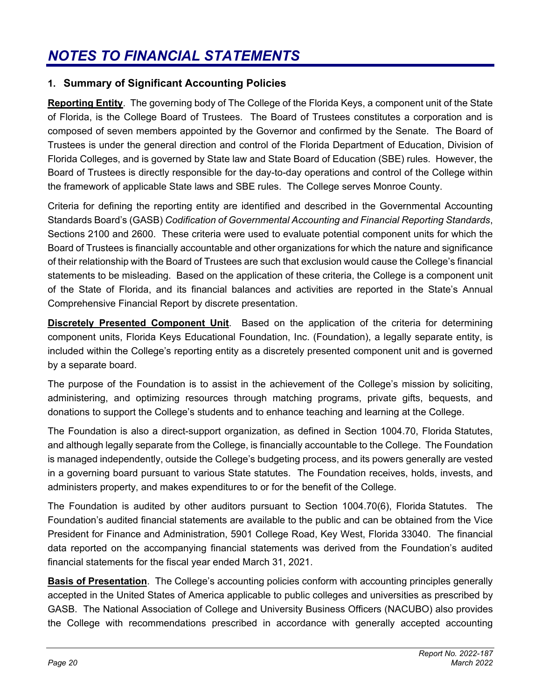# <span id="page-23-0"></span>*NOTES TO FINANCIAL STATEMENTS*

# **1. Summary of Significant Accounting Policies**

**Reporting Entity**. The governing body of The College of the Florida Keys, a component unit of the State of Florida, is the College Board of Trustees. The Board of Trustees constitutes a corporation and is composed of seven members appointed by the Governor and confirmed by the Senate. The Board of Trustees is under the general direction and control of the Florida Department of Education, Division of Florida Colleges, and is governed by State law and State Board of Education (SBE) rules. However, the Board of Trustees is directly responsible for the day-to-day operations and control of the College within the framework of applicable State laws and SBE rules. The College serves Monroe County.

Criteria for defining the reporting entity are identified and described in the Governmental Accounting Standards Board's (GASB) *Codification of Governmental Accounting and Financial Reporting Standards*, Sections 2100 and 2600. These criteria were used to evaluate potential component units for which the Board of Trustees is financially accountable and other organizations for which the nature and significance of their relationship with the Board of Trustees are such that exclusion would cause the College's financial statements to be misleading. Based on the application of these criteria, the College is a component unit of the State of Florida, and its financial balances and activities are reported in the State's Annual Comprehensive Financial Report by discrete presentation.

**Discretely Presented Component Unit**. Based on the application of the criteria for determining component units, Florida Keys Educational Foundation, Inc. (Foundation), a legally separate entity, is included within the College's reporting entity as a discretely presented component unit and is governed by a separate board.

The purpose of the Foundation is to assist in the achievement of the College's mission by soliciting, administering, and optimizing resources through matching programs, private gifts, bequests, and donations to support the College's students and to enhance teaching and learning at the College.

The Foundation is also a direct-support organization, as defined in Section 1004.70, Florida Statutes, and although legally separate from the College, is financially accountable to the College. The Foundation is managed independently, outside the College's budgeting process, and its powers generally are vested in a governing board pursuant to various State statutes. The Foundation receives, holds, invests, and administers property, and makes expenditures to or for the benefit of the College.

The Foundation is audited by other auditors pursuant to Section 1004.70(6), Florida Statutes. The Foundation's audited financial statements are available to the public and can be obtained from the Vice President for Finance and Administration, 5901 College Road, Key West, Florida 33040. The financial data reported on the accompanying financial statements was derived from the Foundation's audited financial statements for the fiscal year ended March 31, 2021.

**Basis of Presentation**. The College's accounting policies conform with accounting principles generally accepted in the United States of America applicable to public colleges and universities as prescribed by GASB. The National Association of College and University Business Officers (NACUBO) also provides the College with recommendations prescribed in accordance with generally accepted accounting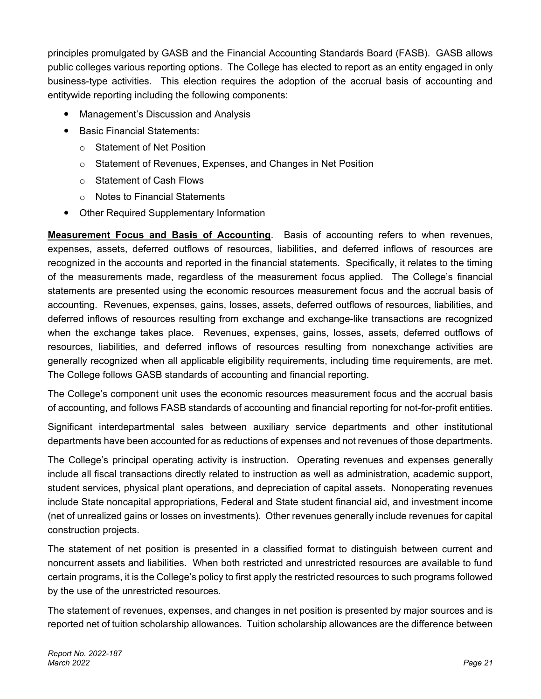principles promulgated by GASB and the Financial Accounting Standards Board (FASB). GASB allows public colleges various reporting options. The College has elected to report as an entity engaged in only business-type activities. This election requires the adoption of the accrual basis of accounting and entitywide reporting including the following components:

- Management's Discussion and Analysis
- Basic Financial Statements:
	- o Statement of Net Position
	- o Statement of Revenues, Expenses, and Changes in Net Position
	- o Statement of Cash Flows
	- o Notes to Financial Statements
- Other Required Supplementary Information

**Measurement Focus and Basis of Accounting**. Basis of accounting refers to when revenues, expenses, assets, deferred outflows of resources, liabilities, and deferred inflows of resources are recognized in the accounts and reported in the financial statements. Specifically, it relates to the timing of the measurements made, regardless of the measurement focus applied. The College's financial statements are presented using the economic resources measurement focus and the accrual basis of accounting. Revenues, expenses, gains, losses, assets, deferred outflows of resources, liabilities, and deferred inflows of resources resulting from exchange and exchange-like transactions are recognized when the exchange takes place. Revenues, expenses, gains, losses, assets, deferred outflows of resources, liabilities, and deferred inflows of resources resulting from nonexchange activities are generally recognized when all applicable eligibility requirements, including time requirements, are met. The College follows GASB standards of accounting and financial reporting.

The College's component unit uses the economic resources measurement focus and the accrual basis of accounting, and follows FASB standards of accounting and financial reporting for not-for-profit entities.

Significant interdepartmental sales between auxiliary service departments and other institutional departments have been accounted for as reductions of expenses and not revenues of those departments.

The College's principal operating activity is instruction. Operating revenues and expenses generally include all fiscal transactions directly related to instruction as well as administration, academic support, student services, physical plant operations, and depreciation of capital assets. Nonoperating revenues include State noncapital appropriations, Federal and State student financial aid, and investment income (net of unrealized gains or losses on investments). Other revenues generally include revenues for capital construction projects.

The statement of net position is presented in a classified format to distinguish between current and noncurrent assets and liabilities. When both restricted and unrestricted resources are available to fund certain programs, it is the College's policy to first apply the restricted resources to such programs followed by the use of the unrestricted resources.

The statement of revenues, expenses, and changes in net position is presented by major sources and is reported net of tuition scholarship allowances. Tuition scholarship allowances are the difference between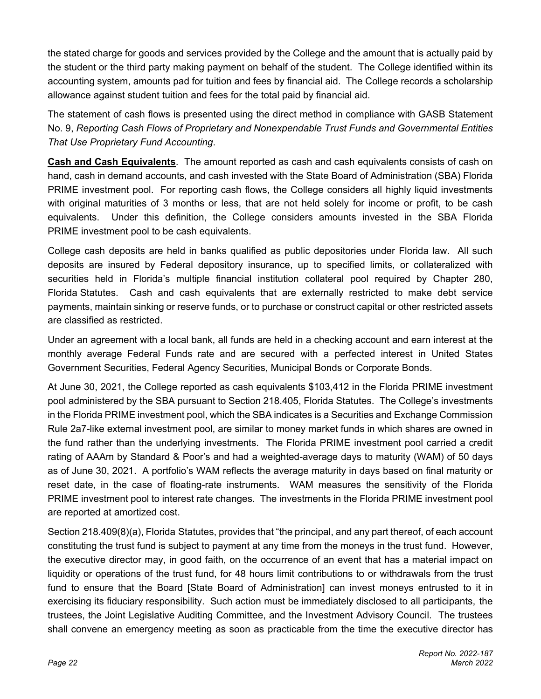the stated charge for goods and services provided by the College and the amount that is actually paid by the student or the third party making payment on behalf of the student. The College identified within its accounting system, amounts pad for tuition and fees by financial aid. The College records a scholarship allowance against student tuition and fees for the total paid by financial aid.

The statement of cash flows is presented using the direct method in compliance with GASB Statement No. 9, *Reporting Cash Flows of Proprietary and Nonexpendable Trust Funds and Governmental Entities That Use Proprietary Fund Accounting*.

**Cash and Cash Equivalents**. The amount reported as cash and cash equivalents consists of cash on hand, cash in demand accounts, and cash invested with the State Board of Administration (SBA) Florida PRIME investment pool. For reporting cash flows, the College considers all highly liquid investments with original maturities of 3 months or less, that are not held solely for income or profit, to be cash equivalents. Under this definition, the College considers amounts invested in the SBA Florida PRIME investment pool to be cash equivalents.

College cash deposits are held in banks qualified as public depositories under Florida law. All such deposits are insured by Federal depository insurance, up to specified limits, or collateralized with securities held in Florida's multiple financial institution collateral pool required by Chapter 280, Florida Statutes. Cash and cash equivalents that are externally restricted to make debt service payments, maintain sinking or reserve funds, or to purchase or construct capital or other restricted assets are classified as restricted.

Under an agreement with a local bank, all funds are held in a checking account and earn interest at the monthly average Federal Funds rate and are secured with a perfected interest in United States Government Securities, Federal Agency Securities, Municipal Bonds or Corporate Bonds.

At June 30, 2021, the College reported as cash equivalents \$103,412 in the Florida PRIME investment pool administered by the SBA pursuant to Section 218.405, Florida Statutes. The College's investments in the Florida PRIME investment pool, which the SBA indicates is a Securities and Exchange Commission Rule 2a7-like external investment pool, are similar to money market funds in which shares are owned in the fund rather than the underlying investments. The Florida PRIME investment pool carried a credit rating of AAAm by Standard & Poor's and had a weighted-average days to maturity (WAM) of 50 days as of June 30, 2021. A portfolio's WAM reflects the average maturity in days based on final maturity or reset date, in the case of floating-rate instruments. WAM measures the sensitivity of the Florida PRIME investment pool to interest rate changes. The investments in the Florida PRIME investment pool are reported at amortized cost.

Section 218.409(8)(a), Florida Statutes, provides that "the principal, and any part thereof, of each account constituting the trust fund is subject to payment at any time from the moneys in the trust fund. However, the executive director may, in good faith, on the occurrence of an event that has a material impact on liquidity or operations of the trust fund, for 48 hours limit contributions to or withdrawals from the trust fund to ensure that the Board [State Board of Administration] can invest moneys entrusted to it in exercising its fiduciary responsibility. Such action must be immediately disclosed to all participants, the trustees, the Joint Legislative Auditing Committee, and the Investment Advisory Council. The trustees shall convene an emergency meeting as soon as practicable from the time the executive director has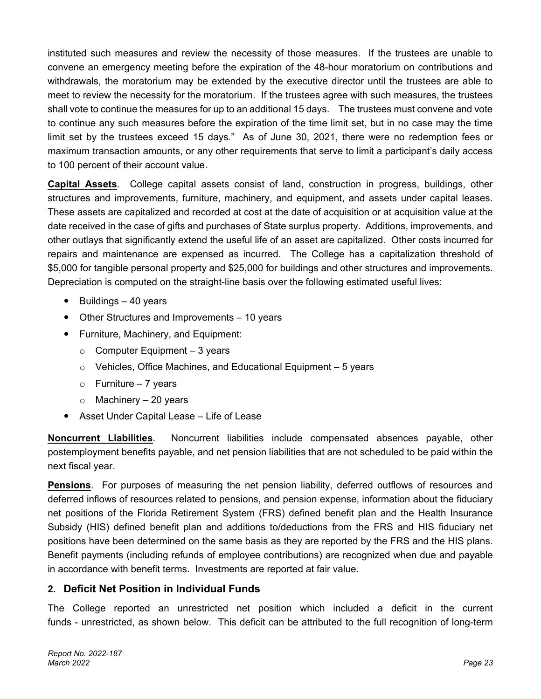instituted such measures and review the necessity of those measures. If the trustees are unable to convene an emergency meeting before the expiration of the 48-hour moratorium on contributions and withdrawals, the moratorium may be extended by the executive director until the trustees are able to meet to review the necessity for the moratorium. If the trustees agree with such measures, the trustees shall vote to continue the measures for up to an additional 15 days. The trustees must convene and vote to continue any such measures before the expiration of the time limit set, but in no case may the time limit set by the trustees exceed 15 days." As of June 30, 2021, there were no redemption fees or maximum transaction amounts, or any other requirements that serve to limit a participant's daily access to 100 percent of their account value.

**Capital Assets**. College capital assets consist of land, construction in progress, buildings, other structures and improvements, furniture, machinery, and equipment, and assets under capital leases. These assets are capitalized and recorded at cost at the date of acquisition or at acquisition value at the date received in the case of gifts and purchases of State surplus property. Additions, improvements, and other outlays that significantly extend the useful life of an asset are capitalized. Other costs incurred for repairs and maintenance are expensed as incurred. The College has a capitalization threshold of \$5,000 for tangible personal property and \$25,000 for buildings and other structures and improvements. Depreciation is computed on the straight-line basis over the following estimated useful lives:

- $\bullet$  Buildings  $-40$  years
- Other Structures and Improvements 10 years
- Furniture, Machinery, and Equipment:
	- $\circ$  Computer Equipment 3 years
	- o Vehicles, Office Machines, and Educational Equipment 5 years
	- $\circ$  Furniture 7 years
	- $\circ$  Machinery 20 years
- Asset Under Capital Lease Life of Lease

**Noncurrent Liabilities**. Noncurrent liabilities include compensated absences payable, other postemployment benefits payable, and net pension liabilities that are not scheduled to be paid within the next fiscal year.

**Pensions**. For purposes of measuring the net pension liability, deferred outflows of resources and deferred inflows of resources related to pensions, and pension expense, information about the fiduciary net positions of the Florida Retirement System (FRS) defined benefit plan and the Health Insurance Subsidy (HIS) defined benefit plan and additions to/deductions from the FRS and HIS fiduciary net positions have been determined on the same basis as they are reported by the FRS and the HIS plans. Benefit payments (including refunds of employee contributions) are recognized when due and payable in accordance with benefit terms. Investments are reported at fair value.

# **2. Deficit Net Position in Individual Funds**

The College reported an unrestricted net position which included a deficit in the current funds - unrestricted, as shown below. This deficit can be attributed to the full recognition of long-term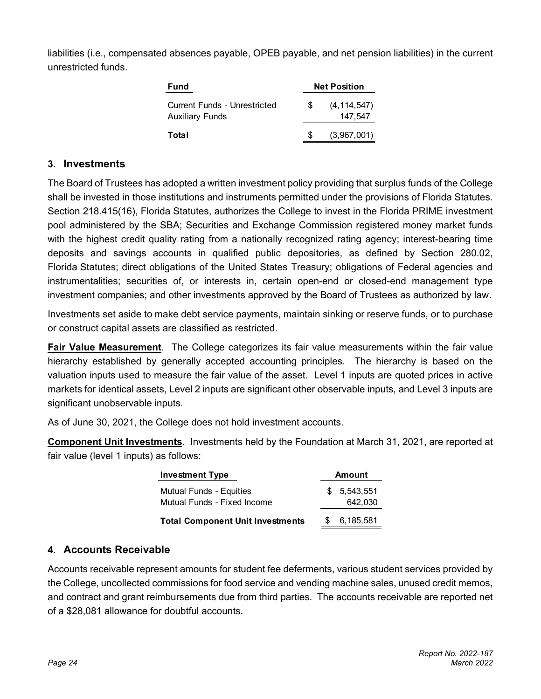liabilities (i.e., compensated absences payable, OPEB payable, and net pension liabilities) in the current unrestricted funds.

| <b>Fund</b>                                                   | <b>Net Position</b> |                          |  |  |
|---------------------------------------------------------------|---------------------|--------------------------|--|--|
| <b>Current Funds - Unrestricted</b><br><b>Auxiliary Funds</b> | \$.                 | (4, 114, 547)<br>147.547 |  |  |
| Total                                                         | \$.                 | (3.967,001)              |  |  |

# **3. Investments**

The Board of Trustees has adopted a written investment policy providing that surplus funds of the College shall be invested in those institutions and instruments permitted under the provisions of Florida Statutes. Section 218.415(16), Florida Statutes, authorizes the College to invest in the Florida PRIME investment pool administered by the SBA; Securities and Exchange Commission registered money market funds with the highest credit quality rating from a nationally recognized rating agency; interest-bearing time deposits and savings accounts in qualified public depositories, as defined by Section 280.02, Florida Statutes; direct obligations of the United States Treasury; obligations of Federal agencies and instrumentalities; securities of, or interests in, certain open-end or closed-end management type investment companies; and other investments approved by the Board of Trustees as authorized by law.

Investments set aside to make debt service payments, maintain sinking or reserve funds, or to purchase or construct capital assets are classified as restricted.

**Fair Value Measurement**. The College categorizes its fair value measurements within the fair value hierarchy established by generally accepted accounting principles. The hierarchy is based on the valuation inputs used to measure the fair value of the asset. Level 1 inputs are quoted prices in active markets for identical assets, Level 2 inputs are significant other observable inputs, and Level 3 inputs are significant unobservable inputs.

As of June 30, 2021, the College does not hold investment accounts.

**Component Unit Investments**. Investments held by the Foundation at March 31, 2021, are reported at fair value (level 1 inputs) as follows:

| <b>Investment Type</b>                  | Amount |             |  |
|-----------------------------------------|--------|-------------|--|
| <b>Mutual Funds - Equities</b>          |        | \$5.543.551 |  |
| Mutual Funds - Fixed Income             |        | 642,030     |  |
| <b>Total Component Unit Investments</b> |        | 6,185,581   |  |

# **4. Accounts Receivable**

Accounts receivable represent amounts for student fee deferments, various student services provided by the College, uncollected commissions for food service and vending machine sales, unused credit memos, and contract and grant reimbursements due from third parties. The accounts receivable are reported net of a \$28,081 allowance for doubtful accounts.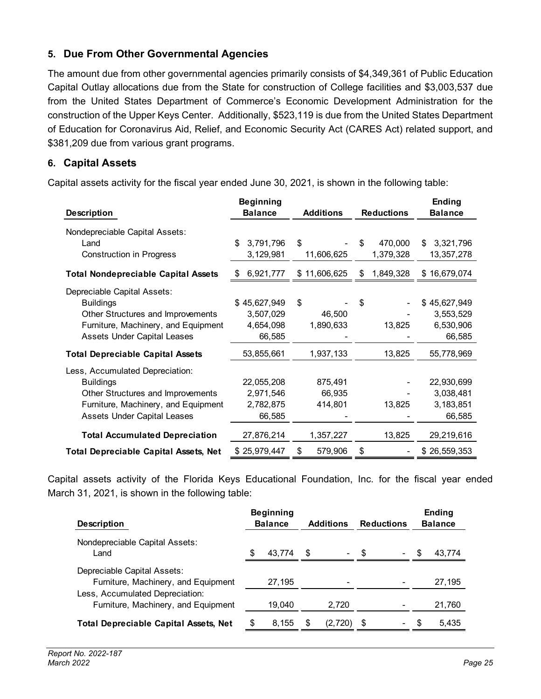# **5. Due From Other Governmental Agencies**

The amount due from other governmental agencies primarily consists of \$4,349,361 of Public Education Capital Outlay allocations due from the State for construction of College facilities and \$3,003,537 due from the United States Department of Commerce's Economic Development Administration for the construction of the Upper Keys Center. Additionally, \$523,119 is due from the United States Department of Education for Coronavirus Aid, Relief, and Economic Security Act (CARES Act) related support, and \$381,209 due from various grant programs.

# **6. Capital Assets**

Capital assets activity for the fiscal year ended June 30, 2021, is shown in the following table:

| <b>Description</b>                           | <b>Beginning</b><br><b>Balance</b> | <b>Additions</b> | <b>Reductions</b> | Ending<br><b>Balance</b> |
|----------------------------------------------|------------------------------------|------------------|-------------------|--------------------------|
| Nondepreciable Capital Assets:               |                                    |                  |                   |                          |
| Land                                         | \$.<br>3,791,796                   | \$               | \$<br>470,000     | 3,321,796<br>\$          |
| <b>Construction in Progress</b>              | 3,129,981                          | 11,606,625       | 1,379,328         | 13,357,278               |
| <b>Total Nondepreciable Capital Assets</b>   | 6,921,777<br>S                     | \$11,606,625     | 1,849,328<br>S    | \$16,679,074             |
| Depreciable Capital Assets:                  |                                    |                  |                   |                          |
| <b>Buildings</b>                             | \$45,627,949                       | \$               | \$                | \$45,627,949             |
| Other Structures and Improvements            | 3,507,029                          | 46,500           |                   | 3,553,529                |
| Furniture, Machinery, and Equipment          | 4,654,098                          | 1,890,633        | 13,825            | 6,530,906                |
| Assets Under Capital Leases                  | 66,585                             |                  |                   | 66,585                   |
| <b>Total Depreciable Capital Assets</b>      | 53,855,661                         | 1,937,133        | 13,825            | 55,778,969               |
| Less, Accumulated Depreciation:              |                                    |                  |                   |                          |
| <b>Buildings</b>                             | 22,055,208                         | 875,491          |                   | 22,930,699               |
| Other Structures and Improvements            | 2,971,546                          | 66,935           |                   | 3,038,481                |
| Furniture, Machinery, and Equipment          | 2,782,875                          | 414,801          | 13,825            | 3,183,851                |
| Assets Under Capital Leases                  | 66,585                             |                  |                   | 66,585                   |
| <b>Total Accumulated Depreciation</b>        | 27,876,214                         | 1,357,227        | 13,825            | 29,219,616               |
| <b>Total Depreciable Capital Assets, Net</b> | \$25,979,447                       | \$<br>579,906    | \$                | \$26,559,353             |

Capital assets activity of the Florida Keys Educational Foundation, Inc. for the fiscal year ended March 31, 2021, is shown in the following table:

| <b>Description</b>                                                     | <b>Beginning</b><br><b>Balance</b> |        |    |         | <b>Additions</b> |            | <b>Reductions</b> |        | Ending<br><b>Balance</b> |  |
|------------------------------------------------------------------------|------------------------------------|--------|----|---------|------------------|------------|-------------------|--------|--------------------------|--|
| Nondepreciable Capital Assets:<br>Land                                 | \$.                                | 43.774 | \$ |         | - \$             | $\sim$ $-$ | -S                | 43.774 |                          |  |
| Depreciable Capital Assets:<br>Furniture, Machinery, and Equipment     |                                    | 27,195 |    |         |                  |            |                   | 27,195 |                          |  |
| Less, Accumulated Depreciation:<br>Furniture, Machinery, and Equipment |                                    | 19.040 |    | 2.720   |                  |            |                   | 21,760 |                          |  |
| <b>Total Depreciable Capital Assets, Net</b>                           | \$                                 | 8.155  | \$ | (2,720) | - \$             | $\sim$     | - \$              | 5,435  |                          |  |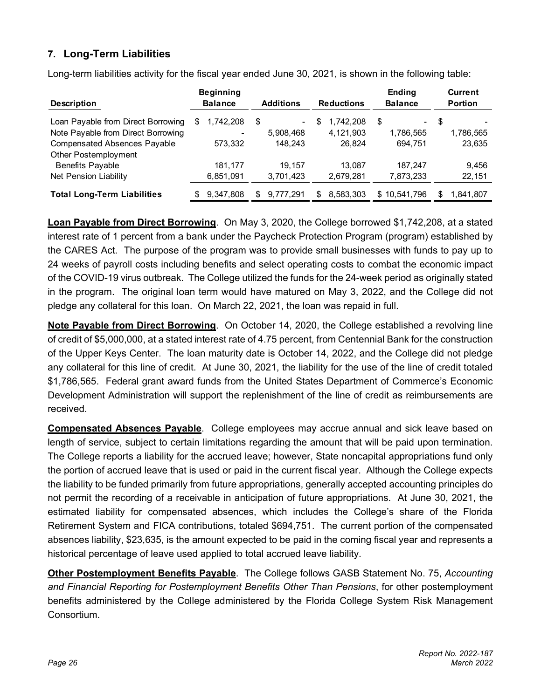# **7. Long-Term Liabilities**

Long-term liabilities activity for the fiscal year ended June 30, 2021, is shown in the following table:

| <b>Description</b>                  |    | <b>Beginning</b><br><b>Balance</b> |    | <b>Additions</b> |   | <b>Reductions</b> | <b>Ending</b><br><b>Balance</b> |     | <b>Current</b><br><b>Portion</b> |
|-------------------------------------|----|------------------------------------|----|------------------|---|-------------------|---------------------------------|-----|----------------------------------|
| Loan Payable from Direct Borrowing  | S. | 1,742,208                          | \$ | ۰.               | S | 1.742.208         | \$<br>-                         | -\$ |                                  |
| Note Payable from Direct Borrowing  |    | ٠                                  |    | 5,908,468        |   | 4,121,903         | 1,786,565                       |     | 1,786,565                        |
| <b>Compensated Absences Payable</b> |    | 573.332                            |    | 148.243          |   | 26.824            | 694.751                         |     | 23,635                           |
| Other Postemployment                |    |                                    |    |                  |   |                   |                                 |     |                                  |
| <b>Benefits Payable</b>             |    | 181,177                            |    | 19.157           |   | 13.087            | 187.247                         |     | 9.456                            |
| Net Pension Liability               |    | 6,851,091                          |    | 3,701,423        |   | 2,679,281         | 7,873,233                       |     | 22,151                           |
| <b>Total Long-Term Liabilities</b>  |    | 9,347,808                          | S. | 9.777.291        | S | 8,583,303         | \$10,541,796                    | \$  | 1,841,807                        |

**Loan Payable from Direct Borrowing**. On May 3, 2020, the College borrowed \$1,742,208, at a stated interest rate of 1 percent from a bank under the Paycheck Protection Program (program) established by the CARES Act. The purpose of the program was to provide small businesses with funds to pay up to 24 weeks of payroll costs including benefits and select operating costs to combat the economic impact of the COVID-19 virus outbreak. The College utilized the funds for the 24-week period as originally stated in the program. The original loan term would have matured on May 3, 2022, and the College did not pledge any collateral for this loan. On March 22, 2021, the loan was repaid in full.

**Note Payable from Direct Borrowing**. On October 14, 2020, the College established a revolving line of credit of \$5,000,000, at a stated interest rate of 4.75 percent, from Centennial Bank for the construction of the Upper Keys Center. The loan maturity date is October 14, 2022, and the College did not pledge any collateral for this line of credit. At June 30, 2021, the liability for the use of the line of credit totaled \$1,786,565. Federal grant award funds from the United States Department of Commerce's Economic Development Administration will support the replenishment of the line of credit as reimbursements are received.

**Compensated Absences Payable**. College employees may accrue annual and sick leave based on length of service, subject to certain limitations regarding the amount that will be paid upon termination. The College reports a liability for the accrued leave; however, State noncapital appropriations fund only the portion of accrued leave that is used or paid in the current fiscal year. Although the College expects the liability to be funded primarily from future appropriations, generally accepted accounting principles do not permit the recording of a receivable in anticipation of future appropriations. At June 30, 2021, the estimated liability for compensated absences, which includes the College's share of the Florida Retirement System and FICA contributions, totaled \$694,751. The current portion of the compensated absences liability, \$23,635, is the amount expected to be paid in the coming fiscal year and represents a historical percentage of leave used applied to total accrued leave liability.

**Other Postemployment Benefits Payable**. The College follows GASB Statement No. 75, *Accounting and Financial Reporting for Postemployment Benefits Other Than Pensions*, for other postemployment benefits administered by the College administered by the Florida College System Risk Management Consortium.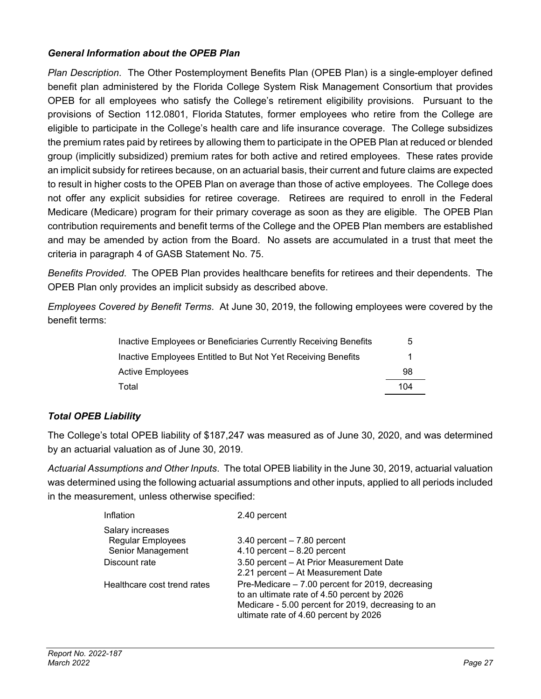# *General Information about the OPEB Plan*

*Plan Description*. The Other Postemployment Benefits Plan (OPEB Plan) is a single-employer defined benefit plan administered by the Florida College System Risk Management Consortium that provides OPEB for all employees who satisfy the College's retirement eligibility provisions. Pursuant to the provisions of Section 112.0801, Florida Statutes, former employees who retire from the College are eligible to participate in the College's health care and life insurance coverage. The College subsidizes the premium rates paid by retirees by allowing them to participate in the OPEB Plan at reduced or blended group (implicitly subsidized) premium rates for both active and retired employees. These rates provide an implicit subsidy for retirees because, on an actuarial basis, their current and future claims are expected to result in higher costs to the OPEB Plan on average than those of active employees. The College does not offer any explicit subsidies for retiree coverage. Retirees are required to enroll in the Federal Medicare (Medicare) program for their primary coverage as soon as they are eligible. The OPEB Plan contribution requirements and benefit terms of the College and the OPEB Plan members are established and may be amended by action from the Board. No assets are accumulated in a trust that meet the criteria in paragraph 4 of GASB Statement No. 75.

*Benefits Provided*. The OPEB Plan provides healthcare benefits for retirees and their dependents. The OPEB Plan only provides an implicit subsidy as described above.

*Employees Covered by Benefit Terms*. At June 30, 2019, the following employees were covered by the benefit terms:

| Inactive Employees or Beneficiaries Currently Receiving Benefits | 5   |
|------------------------------------------------------------------|-----|
| Inactive Employees Entitled to But Not Yet Receiving Benefits    |     |
| <b>Active Employees</b>                                          | 98  |
| Total                                                            | 104 |

# *Total OPEB Liability*

The College's total OPEB liability of \$187,247 was measured as of June 30, 2020, and was determined by an actuarial valuation as of June 30, 2019.

*Actuarial Assumptions and Other Inputs*. The total OPEB liability in the June 30, 2019, actuarial valuation was determined using the following actuarial assumptions and other inputs, applied to all periods included in the measurement, unless otherwise specified:

| Inflation                   | 2.40 percent                                                                                    |
|-----------------------------|-------------------------------------------------------------------------------------------------|
| Salary increases            |                                                                                                 |
| Regular Employees           | $3.40$ percent $-7.80$ percent                                                                  |
| Senior Management           | $4.10$ percent $-8.20$ percent                                                                  |
| Discount rate               | 3.50 percent - At Prior Measurement Date                                                        |
|                             | 2.21 percent - At Measurement Date                                                              |
| Healthcare cost trend rates | Pre-Medicare – 7.00 percent for 2019, decreasing<br>to an ultimate rate of 4.50 percent by 2026 |
|                             | Medicare - 5.00 percent for 2019, decreasing to an<br>ultimate rate of 4.60 percent by 2026     |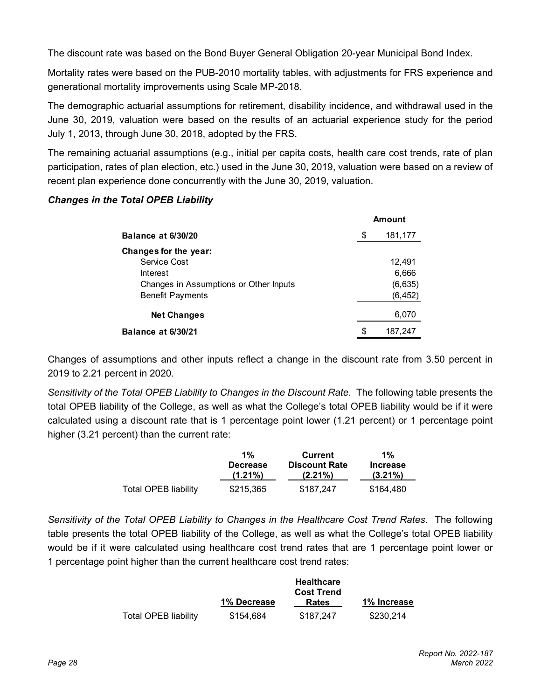The discount rate was based on the Bond Buyer General Obligation 20-year Municipal Bond Index.

Mortality rates were based on the PUB-2010 mortality tables, with adjustments for FRS experience and generational mortality improvements using Scale MP-2018.

The demographic actuarial assumptions for retirement, disability incidence, and withdrawal used in the June 30, 2019, valuation were based on the results of an actuarial experience study for the period July 1, 2013, through June 30, 2018, adopted by the FRS.

The remaining actuarial assumptions (e.g., initial per capita costs, health care cost trends, rate of plan participation, rates of plan election, etc.) used in the June 30, 2019, valuation were based on a review of recent plan experience done concurrently with the June 30, 2019, valuation.

# *Changes in the Total OPEB Liability*

|                                        |    | Amount   |  |  |  |  |
|----------------------------------------|----|----------|--|--|--|--|
| \$<br>Balance at 6/30/20               |    | 181,177  |  |  |  |  |
| Changes for the year:                  |    |          |  |  |  |  |
| Service Cost                           |    | 12,491   |  |  |  |  |
| Interest                               |    | 6,666    |  |  |  |  |
| Changes in Assumptions or Other Inputs |    | (6,635)  |  |  |  |  |
| <b>Benefit Payments</b>                |    | (6, 452) |  |  |  |  |
| <b>Net Changes</b>                     |    | 6,070    |  |  |  |  |
| Balance at 6/30/21                     | \$ | 187,247  |  |  |  |  |

Changes of assumptions and other inputs reflect a change in the discount rate from 3.50 percent in 2019 to 2.21 percent in 2020.

*Sensitivity of the Total OPEB Liability to Changes in the Discount Rate*. The following table presents the total OPEB liability of the College, as well as what the College's total OPEB liability would be if it were calculated using a discount rate that is 1 percentage point lower (1.21 percent) or 1 percentage point higher (3.21 percent) than the current rate:

|                             | $1\%$           | Current              | 1%              |
|-----------------------------|-----------------|----------------------|-----------------|
|                             | <b>Decrease</b> | <b>Discount Rate</b> | <b>Increase</b> |
|                             | $(1.21\%)$      | $(2.21\%)$           | $(3.21\%)$      |
| <b>Total OPEB liability</b> | \$215,365       | \$187.247            | \$164.480       |

*Sensitivity of the Total OPEB Liability to Changes in the Healthcare Cost Trend Rates*. The following table presents the total OPEB liability of the College, as well as what the College's total OPEB liability would be if it were calculated using healthcare cost trend rates that are 1 percentage point lower or 1 percentage point higher than the current healthcare cost trend rates:

|                      |             | <b>Healthcare</b><br><b>Cost Trend</b> |             |
|----------------------|-------------|----------------------------------------|-------------|
|                      | 1% Decrease | Rates                                  | 1% Increase |
| Total OPEB liability | \$154.684   | \$187.247                              | \$230.214   |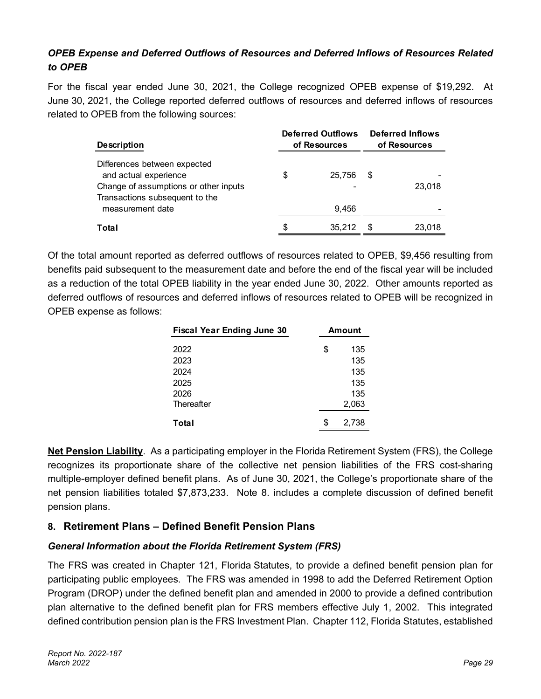# *OPEB Expense and Deferred Outflows of Resources and Deferred Inflows of Resources Related to OPEB*

For the fiscal year ended June 30, 2021, the College recognized OPEB expense of \$19,292. At June 30, 2021, the College reported deferred outflows of resources and deferred inflows of resources related to OPEB from the following sources:

| <b>Description</b>                                                                             |   | <b>Deferred Outflows</b><br>of Resources |    | Deferred Inflows<br>of Resources |  |
|------------------------------------------------------------------------------------------------|---|------------------------------------------|----|----------------------------------|--|
| Differences between expected<br>and actual experience<br>Change of assumptions or other inputs | S | 25,756                                   | \$ | 23,018                           |  |
| Transactions subsequent to the<br>measurement date                                             |   | 9,456                                    |    |                                  |  |
| Total                                                                                          | S | 35.212                                   | S  | 23,018                           |  |

Of the total amount reported as deferred outflows of resources related to OPEB, \$9,456 resulting from benefits paid subsequent to the measurement date and before the end of the fiscal year will be included as a reduction of the total OPEB liability in the year ended June 30, 2022. Other amounts reported as deferred outflows of resources and deferred inflows of resources related to OPEB will be recognized in OPEB expense as follows:

| <b>Fiscal Year Ending June 30</b> | Amount      |
|-----------------------------------|-------------|
| 2022                              | \$<br>135   |
| 2023                              | 135         |
| 2024                              | 135         |
| 2025                              | 135         |
| 2026                              | 135         |
| Thereafter                        | 2,063       |
| Total                             | \$<br>2,738 |

**Net Pension Liability**. As a participating employer in the Florida Retirement System (FRS), the College recognizes its proportionate share of the collective net pension liabilities of the FRS cost-sharing multiple-employer defined benefit plans. As of June 30, 2021, the College's proportionate share of the net pension liabilities totaled \$7,873,233. Note 8. includes a complete discussion of defined benefit pension plans.

# **8. Retirement Plans – Defined Benefit Pension Plans**

# *General Information about the Florida Retirement System (FRS)*

The FRS was created in Chapter 121, Florida Statutes, to provide a defined benefit pension plan for participating public employees. The FRS was amended in 1998 to add the Deferred Retirement Option Program (DROP) under the defined benefit plan and amended in 2000 to provide a defined contribution plan alternative to the defined benefit plan for FRS members effective July 1, 2002. This integrated defined contribution pension plan is the FRS Investment Plan. Chapter 112, Florida Statutes, established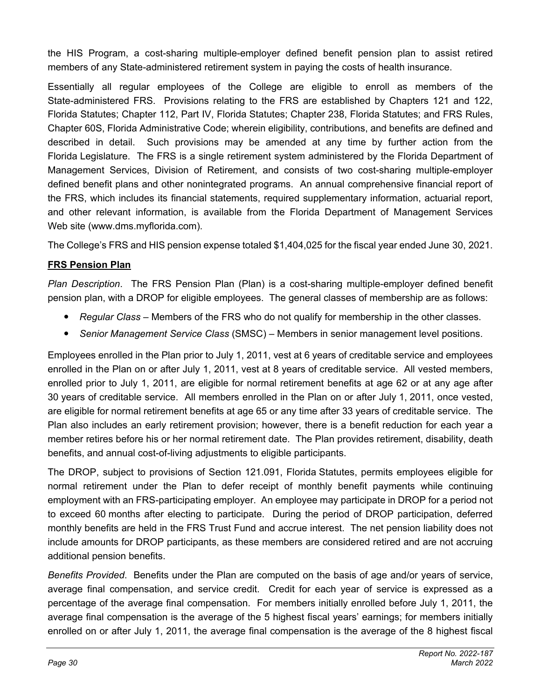the HIS Program, a cost-sharing multiple-employer defined benefit pension plan to assist retired members of any State-administered retirement system in paying the costs of health insurance.

Essentially all regular employees of the College are eligible to enroll as members of the State-administered FRS. Provisions relating to the FRS are established by Chapters 121 and 122, Florida Statutes; Chapter 112, Part IV, Florida Statutes; Chapter 238, Florida Statutes; and FRS Rules, Chapter 60S, Florida Administrative Code; wherein eligibility, contributions, and benefits are defined and described in detail. Such provisions may be amended at any time by further action from the Florida Legislature. The FRS is a single retirement system administered by the Florida Department of Management Services, Division of Retirement, and consists of two cost-sharing multiple-employer defined benefit plans and other nonintegrated programs. An annual comprehensive financial report of the FRS, which includes its financial statements, required supplementary information, actuarial report, and other relevant information, is available from the Florida Department of Management Services Web site (www.dms.myflorida.com).

The College's FRS and HIS pension expense totaled \$1,404,025 for the fiscal year ended June 30, 2021.

# **FRS Pension Plan**

*Plan Description*. The FRS Pension Plan (Plan) is a cost-sharing multiple-employer defined benefit pension plan, with a DROP for eligible employees. The general classes of membership are as follows:

- *Regular Class* Members of the FRS who do not qualify for membership in the other classes.
- *Senior Management Service Class* (SMSC) Members in senior management level positions.

Employees enrolled in the Plan prior to July 1, 2011, vest at 6 years of creditable service and employees enrolled in the Plan on or after July 1, 2011, vest at 8 years of creditable service. All vested members, enrolled prior to July 1, 2011, are eligible for normal retirement benefits at age 62 or at any age after 30 years of creditable service. All members enrolled in the Plan on or after July 1, 2011, once vested, are eligible for normal retirement benefits at age 65 or any time after 33 years of creditable service. The Plan also includes an early retirement provision; however, there is a benefit reduction for each year a member retires before his or her normal retirement date. The Plan provides retirement, disability, death benefits, and annual cost-of-living adjustments to eligible participants.

The DROP, subject to provisions of Section 121.091, Florida Statutes, permits employees eligible for normal retirement under the Plan to defer receipt of monthly benefit payments while continuing employment with an FRS-participating employer. An employee may participate in DROP for a period not to exceed 60 months after electing to participate. During the period of DROP participation, deferred monthly benefits are held in the FRS Trust Fund and accrue interest. The net pension liability does not include amounts for DROP participants, as these members are considered retired and are not accruing additional pension benefits.

*Benefits Provided*. Benefits under the Plan are computed on the basis of age and/or years of service, average final compensation, and service credit. Credit for each year of service is expressed as a percentage of the average final compensation. For members initially enrolled before July 1, 2011, the average final compensation is the average of the 5 highest fiscal years' earnings; for members initially enrolled on or after July 1, 2011, the average final compensation is the average of the 8 highest fiscal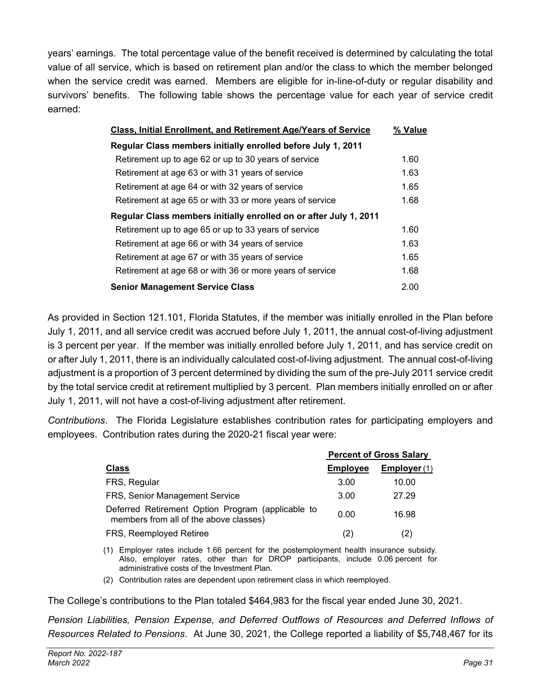years' earnings. The total percentage value of the benefit received is determined by calculating the total value of all service, which is based on retirement plan and/or the class to which the member belonged when the service credit was earned. Members are eligible for in-line-of-duty or regular disability and survivors' benefits. The following table shows the percentage value for each year of service credit earned:

| Class, Initial Enrollment, and Retirement Age/Years of Service    | % Value |
|-------------------------------------------------------------------|---------|
| Regular Class members initially enrolled before July 1, 2011      |         |
| Retirement up to age 62 or up to 30 years of service              | 1.60    |
| Retirement at age 63 or with 31 years of service                  | 1.63    |
| Retirement at age 64 or with 32 years of service                  | 1.65    |
| Retirement at age 65 or with 33 or more years of service          | 1.68    |
| Regular Class members initially enrolled on or after July 1, 2011 |         |
| Retirement up to age 65 or up to 33 years of service              | 1.60    |
| Retirement at age 66 or with 34 years of service                  | 1.63    |
| Retirement at age 67 or with 35 years of service                  | 1.65    |
| Retirement at age 68 or with 36 or more years of service          | 1.68    |
| <b>Senior Management Service Class</b>                            | 2.00    |

As provided in Section 121.101, Florida Statutes, if the member was initially enrolled in the Plan before July 1, 2011, and all service credit was accrued before July 1, 2011, the annual cost-of-living adjustment is 3 percent per year. If the member was initially enrolled before July 1, 2011, and has service credit on or after July 1, 2011, there is an individually calculated cost-of-living adjustment. The annual cost-of-living adjustment is a proportion of 3 percent determined by dividing the sum of the pre-July 2011 service credit by the total service credit at retirement multiplied by 3 percent. Plan members initially enrolled on or after July 1, 2011, will not have a cost-of-living adjustment after retirement.

*Contributions*. The Florida Legislature establishes contribution rates for participating employers and employees. Contribution rates during the 2020-21 fiscal year were:

|                                                                                             | <b>Percent of Gross Salary</b> |             |  |
|---------------------------------------------------------------------------------------------|--------------------------------|-------------|--|
| <b>Class</b>                                                                                | <b>Employee</b>                | Emplover(1) |  |
| FRS, Regular                                                                                | 3.00                           | 10.00       |  |
| <b>FRS, Senior Management Service</b>                                                       | 3.00                           | 27.29       |  |
| Deferred Retirement Option Program (applicable to<br>members from all of the above classes) | 0.00                           | 16.98       |  |
| FRS, Reemployed Retiree                                                                     | (2)                            | 2)          |  |

(1) Employer rates include 1.66 percent for the postemployment health insurance subsidy. Also, employer rates, other than for DROP participants, include 0.06 percent for administrative costs of the Investment Plan.

(2) Contribution rates are dependent upon retirement class in which reemployed.

The College's contributions to the Plan totaled \$464,983 for the fiscal year ended June 30, 2021.

*Pension Liabilities, Pension Expense, and Deferred Outflows of Resources and Deferred Inflows of Resources Related to Pensions*. At June 30, 2021, the College reported a liability of \$5,748,467 for its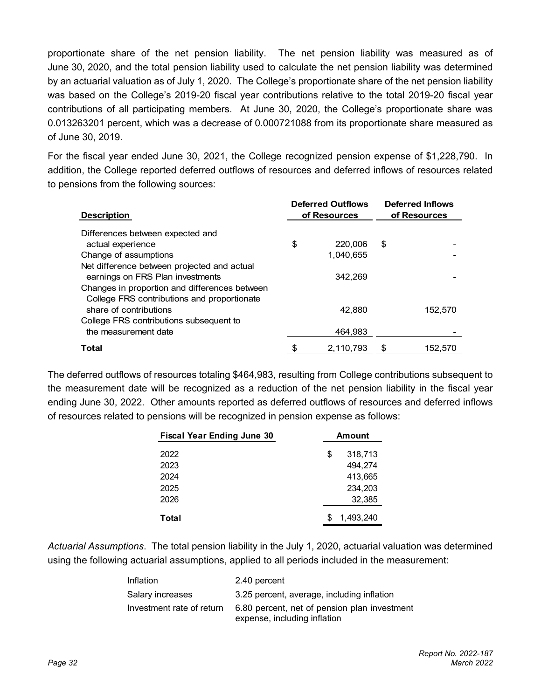proportionate share of the net pension liability. The net pension liability was measured as of June 30, 2020, and the total pension liability used to calculate the net pension liability was determined by an actuarial valuation as of July 1, 2020. The College's proportionate share of the net pension liability was based on the College's 2019-20 fiscal year contributions relative to the total 2019-20 fiscal year contributions of all participating members. At June 30, 2020, the College's proportionate share was 0.013263201 percent, which was a decrease of 0.000721088 from its proportionate share measured as of June 30, 2019.

For the fiscal year ended June 30, 2021, the College recognized pension expense of \$1,228,790. In addition, the College reported deferred outflows of resources and deferred inflows of resources related to pensions from the following sources:

| <b>Description</b>                                                                           | <b>Deferred Outflows</b><br>of Resources |           | <b>Deferred Inflows</b><br>of Resources |         |
|----------------------------------------------------------------------------------------------|------------------------------------------|-----------|-----------------------------------------|---------|
| Differences between expected and                                                             |                                          |           |                                         |         |
| actual experience                                                                            | \$                                       | 220,006   | \$                                      |         |
| Change of assumptions                                                                        |                                          | 1.040.655 |                                         |         |
| Net difference between projected and actual<br>earnings on FRS Plan investments              |                                          | 342.269   |                                         |         |
| Changes in proportion and differences between<br>College FRS contributions and proportionate |                                          |           |                                         |         |
| share of contributions                                                                       |                                          | 42.880    |                                         | 152,570 |
| College FRS contributions subsequent to                                                      |                                          |           |                                         |         |
| the measurement date                                                                         |                                          | 464.983   |                                         |         |
| Total                                                                                        | \$                                       | 2,110,793 |                                         | 152.570 |

The deferred outflows of resources totaling \$464,983, resulting from College contributions subsequent to the measurement date will be recognized as a reduction of the net pension liability in the fiscal year ending June 30, 2022. Other amounts reported as deferred outflows of resources and deferred inflows of resources related to pensions will be recognized in pension expense as follows:

| <b>Fiscal Year Ending June 30</b> |    | <b>Amount</b> |  |  |
|-----------------------------------|----|---------------|--|--|
| 2022                              | \$ | 318,713       |  |  |
| 2023                              |    | 494.274       |  |  |
| 2024                              |    | 413,665       |  |  |
| 2025                              |    | 234,203       |  |  |
| 2026                              |    | 32,385        |  |  |
| Total                             |    | 1,493,240     |  |  |

*Actuarial Assumptions*. The total pension liability in the July 1, 2020, actuarial valuation was determined using the following actuarial assumptions, applied to all periods included in the measurement:

| Inflation                 | 2.40 percent                                                                 |
|---------------------------|------------------------------------------------------------------------------|
| Salary increases          | 3.25 percent, average, including inflation                                   |
| Investment rate of return | 6.80 percent, net of pension plan investment<br>expense, including inflation |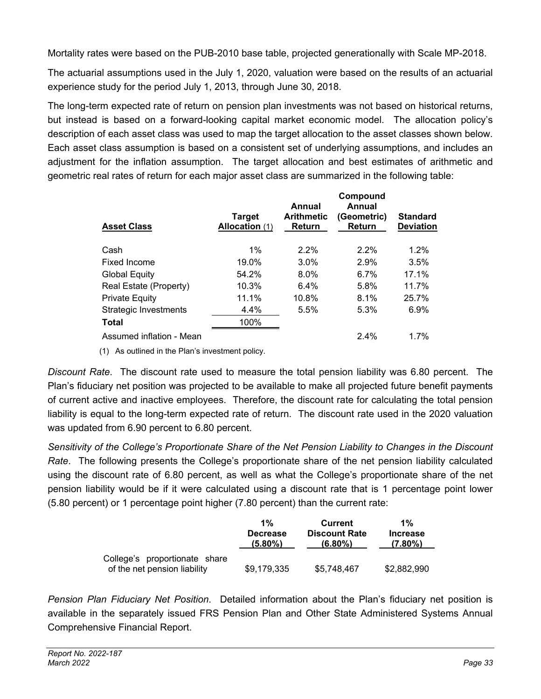Mortality rates were based on the PUB-2010 base table, projected generationally with Scale MP-2018.

The actuarial assumptions used in the July 1, 2020, valuation were based on the results of an actuarial experience study for the period July 1, 2013, through June 30, 2018.

The long-term expected rate of return on pension plan investments was not based on historical returns, but instead is based on a forward-looking capital market economic model. The allocation policy's description of each asset class was used to map the target allocation to the asset classes shown below. Each asset class assumption is based on a consistent set of underlying assumptions, and includes an adjustment for the inflation assumption. The target allocation and best estimates of arithmetic and geometric real rates of return for each major asset class are summarized in the following table:

| <b>Asset Class</b>           | <b>Target</b><br>Allocation (1) | Annual<br><b>Arithmetic</b><br>Return | Compound<br>Annual<br>(Geometric)<br>Return | <b>Standard</b><br><b>Deviation</b> |
|------------------------------|---------------------------------|---------------------------------------|---------------------------------------------|-------------------------------------|
| Cash                         | $1\%$                           | $2.2\%$                               | 2.2%                                        | 1.2%                                |
| Fixed Income                 | 19.0%                           | $3.0\%$                               | 2.9%                                        | 3.5%                                |
| <b>Global Equity</b>         | 54.2%                           | $8.0\%$                               | 6.7%                                        | 17.1%                               |
| Real Estate (Property)       | 10.3%                           | 6.4%                                  | 5.8%                                        | 11.7%                               |
| <b>Private Equity</b>        | 11.1%                           | 10.8%                                 | 8.1%                                        | 25.7%                               |
| <b>Strategic Investments</b> | 4.4%                            | 5.5%                                  | 5.3%                                        | 6.9%                                |
| <b>Total</b>                 | 100%                            |                                       |                                             |                                     |
| Assumed inflation - Mean     |                                 |                                       | 2.4%                                        | 1.7%                                |
|                              |                                 |                                       |                                             |                                     |

(1) As outlined in the Plan's investment policy.

*Discount Rate*. The discount rate used to measure the total pension liability was 6.80 percent. The Plan's fiduciary net position was projected to be available to make all projected future benefit payments of current active and inactive employees. Therefore, the discount rate for calculating the total pension liability is equal to the long-term expected rate of return. The discount rate used in the 2020 valuation was updated from 6.90 percent to 6.80 percent.

*Sensitivity of the College's Proportionate Share of the Net Pension Liability to Changes in the Discount Rate*. The following presents the College's proportionate share of the net pension liability calculated using the discount rate of 6.80 percent, as well as what the College's proportionate share of the net pension liability would be if it were calculated using a discount rate that is 1 percentage point lower (5.80 percent) or 1 percentage point higher (7.80 percent) than the current rate:

|                                                               | 1%              | Current              | $1\%$           |
|---------------------------------------------------------------|-----------------|----------------------|-----------------|
|                                                               | <b>Decrease</b> | <b>Discount Rate</b> | <b>Increase</b> |
|                                                               | $(5.80\%)$      | $(6.80\%)$           | $(7.80\%)$      |
| College's proportionate share<br>of the net pension liability | \$9,179,335     | \$5,748,467          | \$2,882,990     |

*Pension Plan Fiduciary Net Position*. Detailed information about the Plan's fiduciary net position is available in the separately issued FRS Pension Plan and Other State Administered Systems Annual Comprehensive Financial Report.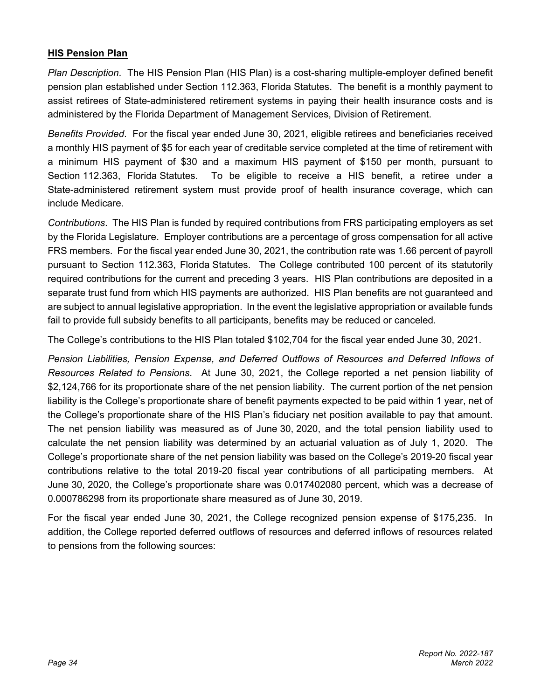# **HIS Pension Plan**

*Plan Description*. The HIS Pension Plan (HIS Plan) is a cost-sharing multiple-employer defined benefit pension plan established under Section 112.363, Florida Statutes. The benefit is a monthly payment to assist retirees of State-administered retirement systems in paying their health insurance costs and is administered by the Florida Department of Management Services, Division of Retirement.

*Benefits Provided*. For the fiscal year ended June 30, 2021, eligible retirees and beneficiaries received a monthly HIS payment of \$5 for each year of creditable service completed at the time of retirement with a minimum HIS payment of \$30 and a maximum HIS payment of \$150 per month, pursuant to Section 112.363, Florida Statutes. To be eligible to receive a HIS benefit, a retiree under a State-administered retirement system must provide proof of health insurance coverage, which can include Medicare.

*Contributions*. The HIS Plan is funded by required contributions from FRS participating employers as set by the Florida Legislature. Employer contributions are a percentage of gross compensation for all active FRS members. For the fiscal year ended June 30, 2021, the contribution rate was 1.66 percent of payroll pursuant to Section 112.363, Florida Statutes. The College contributed 100 percent of its statutorily required contributions for the current and preceding 3 years. HIS Plan contributions are deposited in a separate trust fund from which HIS payments are authorized. HIS Plan benefits are not guaranteed and are subject to annual legislative appropriation. In the event the legislative appropriation or available funds fail to provide full subsidy benefits to all participants, benefits may be reduced or canceled.

The College's contributions to the HIS Plan totaled \$102,704 for the fiscal year ended June 30, 2021.

*Pension Liabilities, Pension Expense, and Deferred Outflows of Resources and Deferred Inflows of Resources Related to Pensions*. At June 30, 2021, the College reported a net pension liability of \$2,124,766 for its proportionate share of the net pension liability. The current portion of the net pension liability is the College's proportionate share of benefit payments expected to be paid within 1 year, net of the College's proportionate share of the HIS Plan's fiduciary net position available to pay that amount. The net pension liability was measured as of June 30, 2020, and the total pension liability used to calculate the net pension liability was determined by an actuarial valuation as of July 1, 2020. The College's proportionate share of the net pension liability was based on the College's 2019-20 fiscal year contributions relative to the total 2019-20 fiscal year contributions of all participating members. At June 30, 2020, the College's proportionate share was 0.017402080 percent, which was a decrease of 0.000786298 from its proportionate share measured as of June 30, 2019.

For the fiscal year ended June 30, 2021, the College recognized pension expense of \$175,235. In addition, the College reported deferred outflows of resources and deferred inflows of resources related to pensions from the following sources: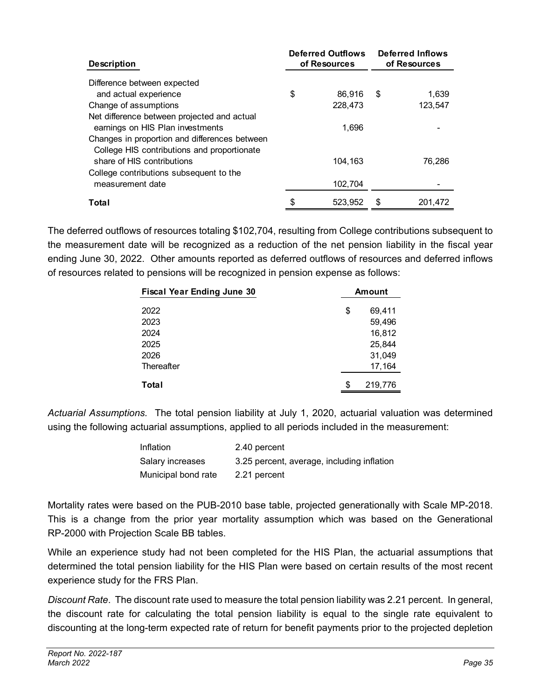| <b>Description</b>                            | <b>Deferred Outflows</b><br>of Resources |         | <b>Deferred Inflows</b><br>of Resources |         |
|-----------------------------------------------|------------------------------------------|---------|-----------------------------------------|---------|
| Difference between expected                   |                                          |         |                                         |         |
| and actual experience                         | \$                                       | 86.916  | \$                                      | 1,639   |
| Change of assumptions                         |                                          | 228.473 |                                         | 123.547 |
| Net difference between projected and actual   |                                          |         |                                         |         |
| earnings on HIS Plan investments              |                                          | 1,696   |                                         |         |
| Changes in proportion and differences between |                                          |         |                                         |         |
| College HIS contributions and proportionate   |                                          |         |                                         |         |
| share of HIS contributions                    |                                          | 104.163 |                                         | 76.286  |
| College contributions subsequent to the       |                                          |         |                                         |         |
| measurement date                              |                                          | 102,704 |                                         |         |
| Total                                         | \$                                       | 523.952 |                                         | 201.472 |

The deferred outflows of resources totaling \$102,704, resulting from College contributions subsequent to the measurement date will be recognized as a reduction of the net pension liability in the fiscal year ending June 30, 2022. Other amounts reported as deferred outflows of resources and deferred inflows of resources related to pensions will be recognized in pension expense as follows:

| <b>Fiscal Year Ending June 30</b> | <b>Amount</b> |  |  |  |
|-----------------------------------|---------------|--|--|--|
| 2022                              | \$<br>69,411  |  |  |  |
| 2023                              | 59,496        |  |  |  |
| 2024                              | 16,812        |  |  |  |
| 2025                              | 25,844        |  |  |  |
| 2026                              | 31,049        |  |  |  |
| Thereafter                        | 17,164        |  |  |  |
| Total                             | \$<br>219,776 |  |  |  |

*Actuarial Assumptions.* The total pension liability at July 1, 2020, actuarial valuation was determined using the following actuarial assumptions, applied to all periods included in the measurement:

| Inflation           | 2.40 percent                               |
|---------------------|--------------------------------------------|
| Salary increases    | 3.25 percent, average, including inflation |
| Municipal bond rate | 2.21 percent                               |

Mortality rates were based on the PUB-2010 base table, projected generationally with Scale MP-2018. This is a change from the prior year mortality assumption which was based on the Generational RP-2000 with Projection Scale BB tables.

While an experience study had not been completed for the HIS Plan, the actuarial assumptions that determined the total pension liability for the HIS Plan were based on certain results of the most recent experience study for the FRS Plan.

*Discount Rate*. The discount rate used to measure the total pension liability was 2.21 percent. In general, the discount rate for calculating the total pension liability is equal to the single rate equivalent to discounting at the long-term expected rate of return for benefit payments prior to the projected depletion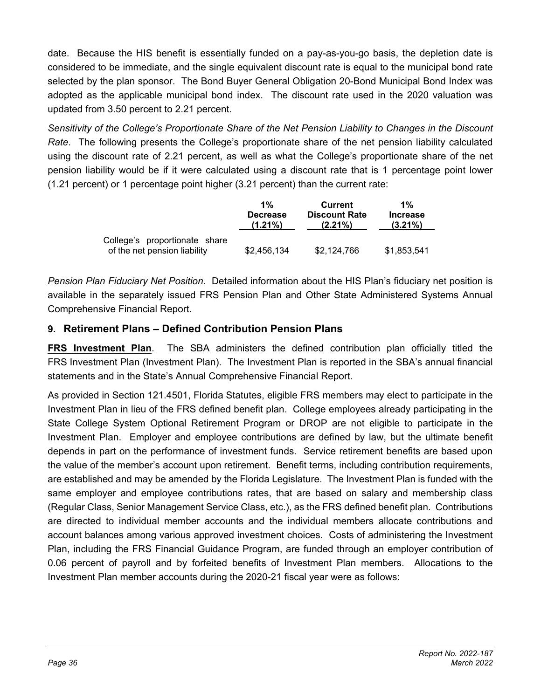date. Because the HIS benefit is essentially funded on a pay-as-you-go basis, the depletion date is considered to be immediate, and the single equivalent discount rate is equal to the municipal bond rate selected by the plan sponsor. The Bond Buyer General Obligation 20-Bond Municipal Bond Index was adopted as the applicable municipal bond index. The discount rate used in the 2020 valuation was updated from 3.50 percent to 2.21 percent.

*Sensitivity of the College's Proportionate Share of the Net Pension Liability to Changes in the Discount Rate*. The following presents the College's proportionate share of the net pension liability calculated using the discount rate of 2.21 percent, as well as what the College's proportionate share of the net pension liability would be if it were calculated using a discount rate that is 1 percentage point lower (1.21 percent) or 1 percentage point higher (3.21 percent) than the current rate:

|                                                               | 1%              | Current              | 1%              |
|---------------------------------------------------------------|-----------------|----------------------|-----------------|
|                                                               | <b>Decrease</b> | <b>Discount Rate</b> | <b>Increase</b> |
|                                                               | $(1.21\%)$      | $(2.21\%)$           | $(3.21\%)$      |
| College's proportionate share<br>of the net pension liability | \$2,456,134     | \$2,124,766          | \$1,853,541     |

*Pension Plan Fiduciary Net Position*. Detailed information about the HIS Plan's fiduciary net position is available in the separately issued FRS Pension Plan and Other State Administered Systems Annual Comprehensive Financial Report.

# **9. Retirement Plans – Defined Contribution Pension Plans**

**FRS Investment Plan**. The SBA administers the defined contribution plan officially titled the FRS Investment Plan (Investment Plan). The Investment Plan is reported in the SBA's annual financial statements and in the State's Annual Comprehensive Financial Report.

As provided in Section 121.4501, Florida Statutes, eligible FRS members may elect to participate in the Investment Plan in lieu of the FRS defined benefit plan. College employees already participating in the State College System Optional Retirement Program or DROP are not eligible to participate in the Investment Plan. Employer and employee contributions are defined by law, but the ultimate benefit depends in part on the performance of investment funds. Service retirement benefits are based upon the value of the member's account upon retirement. Benefit terms, including contribution requirements, are established and may be amended by the Florida Legislature. The Investment Plan is funded with the same employer and employee contributions rates, that are based on salary and membership class (Regular Class, Senior Management Service Class, etc.), as the FRS defined benefit plan. Contributions are directed to individual member accounts and the individual members allocate contributions and account balances among various approved investment choices. Costs of administering the Investment Plan, including the FRS Financial Guidance Program, are funded through an employer contribution of 0.06 percent of payroll and by forfeited benefits of Investment Plan members. Allocations to the Investment Plan member accounts during the 2020-21 fiscal year were as follows: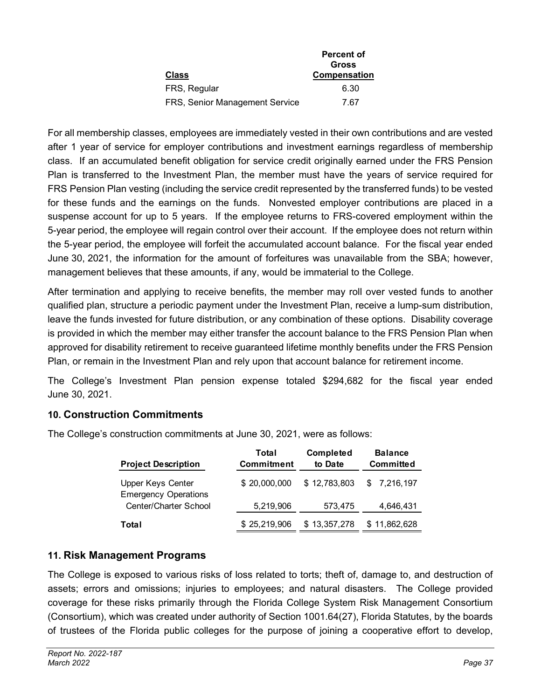|                                | Percent of   |
|--------------------------------|--------------|
|                                | Gross        |
| <b>Class</b>                   | Compensation |
| FRS, Regular                   | 6.30         |
| FRS, Senior Management Service | 7.67         |

For all membership classes, employees are immediately vested in their own contributions and are vested after 1 year of service for employer contributions and investment earnings regardless of membership class. If an accumulated benefit obligation for service credit originally earned under the FRS Pension Plan is transferred to the Investment Plan, the member must have the years of service required for FRS Pension Plan vesting (including the service credit represented by the transferred funds) to be vested for these funds and the earnings on the funds. Nonvested employer contributions are placed in a suspense account for up to 5 years. If the employee returns to FRS-covered employment within the 5-year period, the employee will regain control over their account. If the employee does not return within the 5-year period, the employee will forfeit the accumulated account balance. For the fiscal year ended June 30, 2021, the information for the amount of forfeitures was unavailable from the SBA; however, management believes that these amounts, if any, would be immaterial to the College.

After termination and applying to receive benefits, the member may roll over vested funds to another qualified plan, structure a periodic payment under the Investment Plan, receive a lump-sum distribution, leave the funds invested for future distribution, or any combination of these options. Disability coverage is provided in which the member may either transfer the account balance to the FRS Pension Plan when approved for disability retirement to receive guaranteed lifetime monthly benefits under the FRS Pension Plan, or remain in the Investment Plan and rely upon that account balance for retirement income.

The College's Investment Plan pension expense totaled \$294,682 for the fiscal year ended June 30, 2021.

# **10. Construction Commitments**

The College's construction commitments at June 30, 2021, were as follows:

| <b>Project Description</b>                              | Total<br><b>Commitment</b> | <b>Completed</b><br>to Date | <b>Balance</b><br>Committed |  |  |  |
|---------------------------------------------------------|----------------------------|-----------------------------|-----------------------------|--|--|--|
| <b>Upper Keys Center</b><br><b>Emergency Operations</b> | \$20,000,000               | \$12,783,803                | \$7,216,197                 |  |  |  |
| Center/Charter School                                   | 5,219,906                  | 573,475                     | 4,646,431                   |  |  |  |
| Total                                                   | \$25,219,906               | \$13,357,278                | \$11,862,628                |  |  |  |

# **11. Risk Management Programs**

The College is exposed to various risks of loss related to torts; theft of, damage to, and destruction of assets; errors and omissions; injuries to employees; and natural disasters. The College provided coverage for these risks primarily through the Florida College System Risk Management Consortium (Consortium), which was created under authority of Section 1001.64(27), Florida Statutes, by the boards of trustees of the Florida public colleges for the purpose of joining a cooperative effort to develop,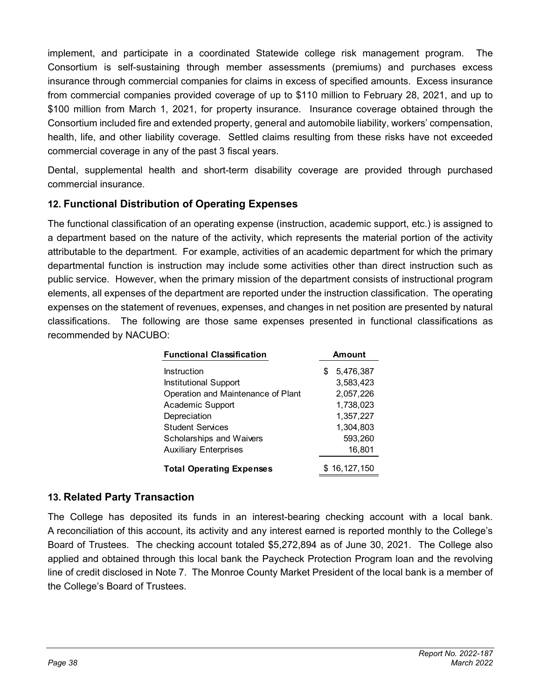implement, and participate in a coordinated Statewide college risk management program. The Consortium is self-sustaining through member assessments (premiums) and purchases excess insurance through commercial companies for claims in excess of specified amounts. Excess insurance from commercial companies provided coverage of up to \$110 million to February 28, 2021, and up to \$100 million from March 1, 2021, for property insurance. Insurance coverage obtained through the Consortium included fire and extended property, general and automobile liability, workers' compensation, health, life, and other liability coverage. Settled claims resulting from these risks have not exceeded commercial coverage in any of the past 3 fiscal years.

Dental, supplemental health and short-term disability coverage are provided through purchased commercial insurance.

# **12. Functional Distribution of Operating Expenses**

The functional classification of an operating expense (instruction, academic support, etc.) is assigned to a department based on the nature of the activity, which represents the material portion of the activity attributable to the department. For example, activities of an academic department for which the primary departmental function is instruction may include some activities other than direct instruction such as public service. However, when the primary mission of the department consists of instructional program elements, all expenses of the department are reported under the instruction classification. The operating expenses on the statement of revenues, expenses, and changes in net position are presented by natural classifications. The following are those same expenses presented in functional classifications as recommended by NACUBO:

| <b>Functional Classification</b>   | Amount         |  |  |  |
|------------------------------------|----------------|--|--|--|
| Instruction                        | 5,476,387<br>S |  |  |  |
| Institutional Support              | 3,583,423      |  |  |  |
| Operation and Maintenance of Plant | 2,057,226      |  |  |  |
| Academic Support                   | 1,738,023      |  |  |  |
| Depreciation                       | 1,357,227      |  |  |  |
| <b>Student Services</b>            | 1,304,803      |  |  |  |
| Scholarships and Waivers           | 593,260        |  |  |  |
| <b>Auxiliary Enterprises</b>       | 16,801         |  |  |  |
| <b>Total Operating Expenses</b>    | \$16,127,150   |  |  |  |

# **13. Related Party Transaction**

The College has deposited its funds in an interest-bearing checking account with a local bank. A reconciliation of this account, its activity and any interest earned is reported monthly to the College's Board of Trustees. The checking account totaled \$5,272,894 as of June 30, 2021. The College also applied and obtained through this local bank the Paycheck Protection Program loan and the revolving line of credit disclosed in Note 7. The Monroe County Market President of the local bank is a member of the College's Board of Trustees.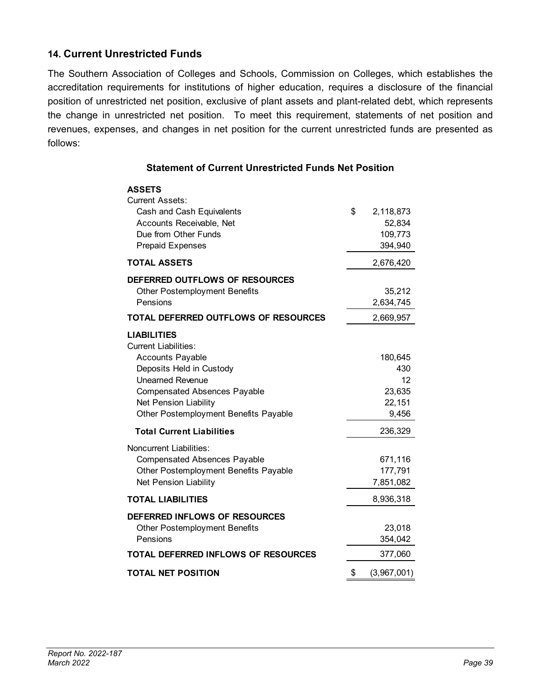# **14. Current Unrestricted Funds**

The Southern Association of Colleges and Schools, Commission on Colleges, which establishes the accreditation requirements for institutions of higher education, requires a disclosure of the financial position of unrestricted net position, exclusive of plant assets and plant-related debt, which represents the change in unrestricted net position. To meet this requirement, statements of net position and revenues, expenses, and changes in net position for the current unrestricted funds are presented as follows:

# **ASSETS** Current Assets: Cash and Cash Equivalents **2,118,873** Accounts Receivable, Net 52,834 Due from Other Funds 109,773 Prepaid Expenses 394,940 **TOTAL ASSETS** 2,676,420 **DEFERRED OUTFLOWS OF RESOURCES** Other Postemployment Benefits 35,212 Pensions 2,634,745 **TOTAL DEFERRED OUTFLOWS OF RESOURCES** 2,669,957 **LIABILITIES** Current Liabilities: Accounts Payable 180,645 Deposits Held in Custody **430** Unearned Revenue 12 Compensated Absences Payable 23,635 Net Pension Liability 22,151 Other Postemployment Benefits Payable 9,456 **Total Current Liabilities** 236.329 Noncurrent Liabilities: Compensated Absences Payable 671,116 Other Postemployment Benefits Payable 177,791 Net Pension Liability 7,851,082 **TOTAL LIABILITIES** 8,936,318 **DEFERRED INFLOWS OF RESOURCES** Other Postemployment Benefits 23,018 Pensions 354,042 **TOTAL DEFERRED INFLOWS OF RESOURCES** 377,060 **TOTAL NET POSITION** \$ (3,967,001)

### **Statement of Current Unrestricted Funds Net Position**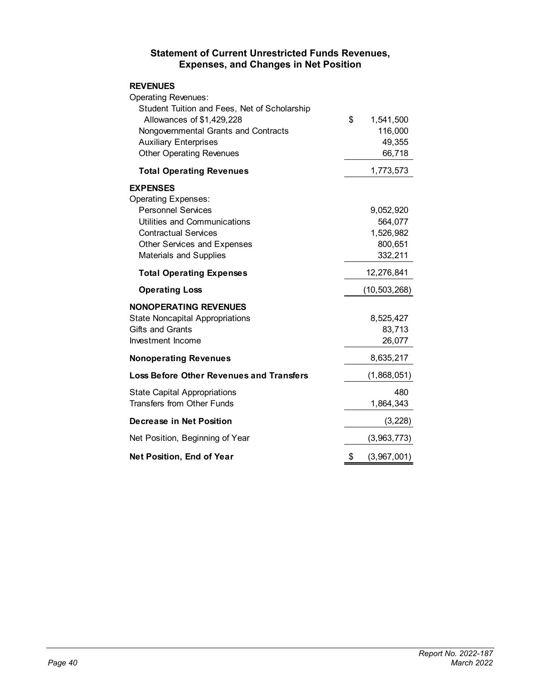| <b>REVENUES</b><br><b>Operating Revenues:</b>                             |                      |
|---------------------------------------------------------------------------|----------------------|
| Student Tuition and Fees, Net of Scholarship<br>Allowances of \$1,429,228 | \$<br>1,541,500      |
| Nongovernmental Grants and Contracts                                      | 116,000              |
| <b>Auxiliary Enterprises</b>                                              | 49,355               |
| <b>Other Operating Revenues</b>                                           | 66,718               |
| <b>Total Operating Revenues</b>                                           | 1,773,573            |
| <b>EXPENSES</b>                                                           |                      |
| <b>Operating Expenses:</b>                                                |                      |
| <b>Personnel Services</b>                                                 | 9,052,920            |
| Utilities and Communications<br><b>Contractual Services</b>               | 564,077<br>1,526,982 |
| <b>Other Services and Expenses</b>                                        | 800,651              |
| <b>Materials and Supplies</b>                                             | 332,211              |
|                                                                           |                      |
| <b>Total Operating Expenses</b>                                           | 12,276,841           |
| <b>Operating Loss</b>                                                     | (10, 503, 268)       |
| <b>NONOPERATING REVENUES</b>                                              |                      |
| <b>State Noncapital Appropriations</b>                                    | 8,525,427            |
| <b>Gifts and Grants</b>                                                   | 83,713               |
| Investment Income                                                         | 26,077               |
| <b>Nonoperating Revenues</b>                                              | 8,635,217            |
| <b>Loss Before Other Revenues and Transfers</b>                           | (1,868,051)          |
| <b>State Capital Appropriations</b>                                       | 480                  |
| <b>Transfers from Other Funds</b>                                         | 1,864,343            |
| Decrease in Net Position                                                  | (3,228)              |
| Net Position, Beginning of Year                                           | (3,963,773)          |
| Net Position, End of Year                                                 | \$<br>(3,967,001)    |

# **Statement of Current Unrestricted Funds Revenues, Expenses, and Changes in Net Position**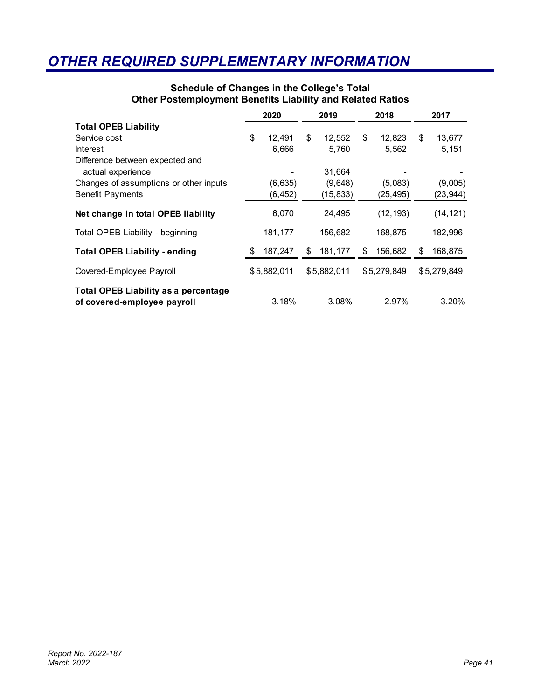# <span id="page-44-0"></span>*OTHER REQUIRED SUPPLEMENTARY INFORMATION*

|                                                                            | 2020 |             | 2019          |    | 2018        | 2017 |             |
|----------------------------------------------------------------------------|------|-------------|---------------|----|-------------|------|-------------|
| <b>Total OPEB Liability</b>                                                |      |             |               |    |             |      |             |
| Service cost                                                               | \$   | 12,491      | \$<br>12,552  | \$ | 12,823      | \$   | 13,677      |
| <b>Interest</b>                                                            |      | 6,666       | 5,760         |    | 5,562       |      | 5,151       |
| Difference between expected and                                            |      |             |               |    |             |      |             |
| actual experience                                                          |      |             | 31,664        |    |             |      |             |
| Changes of assumptions or other inputs                                     |      | (6, 635)    | (9,648)       |    | (5,083)     |      | (9,005)     |
| <b>Benefit Payments</b>                                                    |      | (6, 452)    | (15, 833)     |    | (25, 495)   |      | (23, 944)   |
| Net change in total OPEB liability                                         |      | 6,070       | 24,495        |    | (12, 193)   |      | (14, 121)   |
| Total OPEB Liability - beginning                                           |      | 181,177     | 156,682       |    | 168,875     |      | 182,996     |
| <b>Total OPEB Liability - ending</b>                                       | S    | 187,247     | \$<br>181,177 | S  | 156,682     | \$   | 168,875     |
| Covered-Employee Payroll                                                   |      | \$5,882,011 | \$5,882,011   |    | \$5,279,849 |      | \$5,279,849 |
| <b>Total OPEB Liability as a percentage</b><br>of covered-employee payroll |      | 3.18%       | 3.08%         |    | 2.97%       |      | 3.20%       |

### **Schedule of Changes in the College's Total Other Postemployment Benefits Liability and Related Ratios**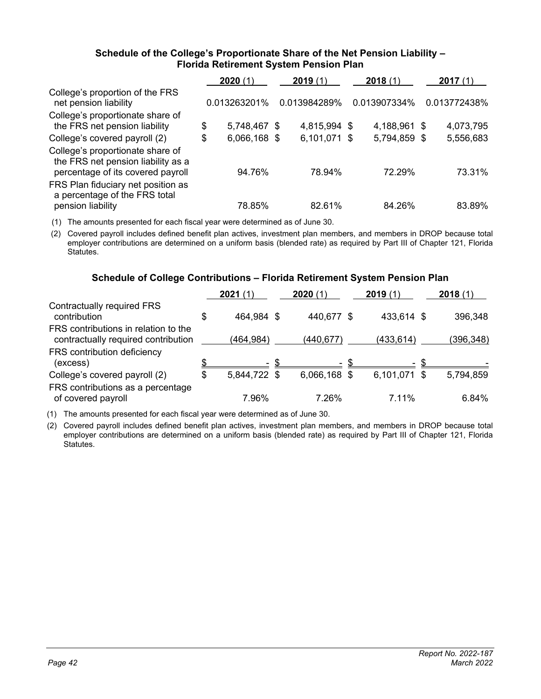### **Schedule of the College's Proportionate Share of the Net Pension Liability – Florida Retirement System Pension Plan**

<span id="page-45-0"></span>

|                                                                                                             | 2020(1)            | 2019(1)      | 2018(1)      |      | 2017(1)      |
|-------------------------------------------------------------------------------------------------------------|--------------------|--------------|--------------|------|--------------|
| College's proportion of the FRS<br>net pension liability<br>College's proportionate share of                | 0.013263201%       | 0.013984289% | 0.013907334% |      | 0.013772438% |
| the FRS net pension liability                                                                               | \$<br>5,748,467 \$ | 4,815,994 \$ | 4,188,961 \$ |      | 4,073,795    |
| College's covered payroll (2)                                                                               | \$<br>6,066,168 \$ | 6,101,071 \$ | 5,794,859    | - \$ | 5,556,683    |
| College's proportionate share of<br>the FRS net pension liability as a<br>percentage of its covered payroll | 94.76%             | 78.94%       | 72.29%       |      | 73.31%       |
| FRS Plan fiduciary net position as<br>a percentage of the FRS total<br>pension liability                    | 78.85%             | 82.61%       | 84.26%       |      | 83.89%       |

(1) The amounts presented for each fiscal year were determined as of June 30.

(2) Covered payroll includes defined benefit plan actives, investment plan members, and members in DROP because total employer contributions are determined on a uniform basis (blended rate) as required by Part III of Chapter 121, Florida Statutes.

### **Schedule of College Contributions – Florida Retirement System Pension Plan**

|                                                                             | 2021(1)            | 2020(1)                  | 2019(1)      | 2018(1)    |
|-----------------------------------------------------------------------------|--------------------|--------------------------|--------------|------------|
| <b>Contractually required FRS</b><br>contribution                           | \$<br>464,984 \$   | 440,677 \$               | 433,614 \$   | 396,348    |
| FRS contributions in relation to the<br>contractually required contribution | (464, 984)         | (440, 677)               | (433,614)    | (396, 348) |
| FRS contribution deficiency<br>(excess)                                     | \$                 | $\overline{\phantom{0}}$ |              |            |
| College's covered payroll (2)                                               | \$<br>5,844,722 \$ | 6,066,168 \$             | 6,101,071 \$ | 5,794,859  |
| FRS contributions as a percentage<br>of covered payroll                     | 7.96%              | 7.26%                    | 7 11%        | 6.84%      |

(1) The amounts presented for each fiscal year were determined as of June 30.

(2) Covered payroll includes defined benefit plan actives, investment plan members, and members in DROP because total employer contributions are determined on a uniform basis (blended rate) as required by Part III of Chapter 121, Florida Statutes.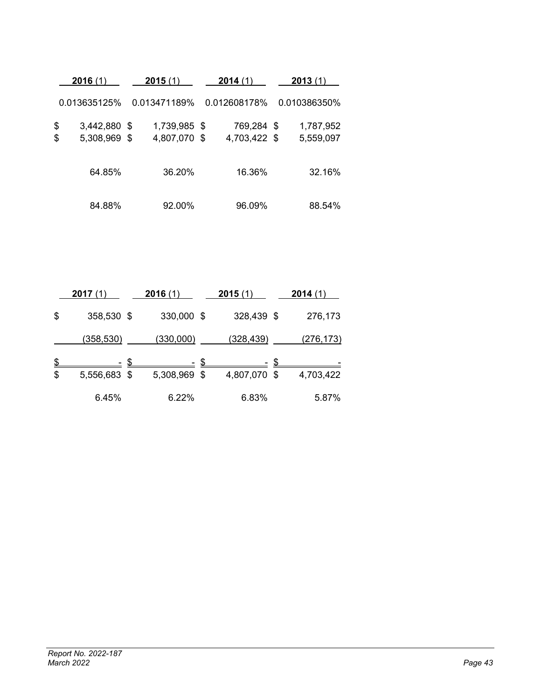|          | 2016(1)                | 2015(1)                                 | <b>2014</b> (1)                    | 2013(1)                |  |  |  |
|----------|------------------------|-----------------------------------------|------------------------------------|------------------------|--|--|--|
|          | 0.013635125%           | 0.013471189%                            | 0.012608178%                       | 0.010386350%           |  |  |  |
| \$<br>\$ | 3,442,880<br>5,308,969 | 1,739,985 \$<br>- \$<br>4,807,070<br>\$ | 769,284 \$<br>4,703,422 \$<br>- \$ | 1,787,952<br>5,559,097 |  |  |  |
|          | 64.85%                 | 36.20%                                  | 16.36%                             | 32.16%                 |  |  |  |
|          | 84.88%                 | 92.00%                                  | 96.09%                             | 88.54%                 |  |  |  |

| 2017(1)            | 2016(1)   |      | 2015(1)          |      | 2014(1)          |
|--------------------|-----------|------|------------------|------|------------------|
| \$<br>358,530 \$   | 330,000   | - \$ | 328,439 \$       |      | 276,173          |
| (358, 530)         | (330,000) |      | <u>(328,439)</u> |      | <u>(276,173)</u> |
|                    |           |      |                  |      |                  |
| \$<br>5,556,683 \$ | 5,308,969 | \$   | 4,807,070        | - \$ | 4,703,422        |
| 6.45%              | 6.22%     |      | 6.83%            |      | 5.87%            |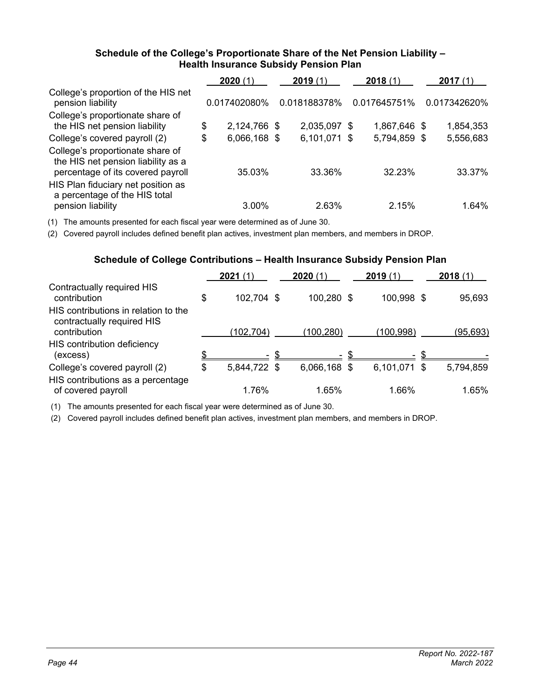### **Schedule of the College's Proportionate Share of the Net Pension Liability – Health Insurance Subsidy Pension Plan**

<span id="page-47-0"></span>

|                                                                                                             | 2020(1)            | 2019(1)      | 2018(1)      | 2017 (1      |
|-------------------------------------------------------------------------------------------------------------|--------------------|--------------|--------------|--------------|
| College's proportion of the HIS net<br>pension liability<br>College's proportionate share of                | 0.017402080%       | 0.018188378% | 0.017645751% | 0.017342620% |
| the HIS net pension liability                                                                               | \$<br>2,124,766 \$ | 2,035,097 \$ | 1,867,646 \$ | 1,854,353    |
| College's covered payroll (2)                                                                               | \$<br>6,066,168 \$ | 6,101,071 \$ | 5,794,859 \$ | 5,556,683    |
| College's proportionate share of<br>the HIS net pension liability as a<br>percentage of its covered payroll | 35.03%             | 33.36%       | 32.23%       | 33.37%       |
| HIS Plan fiduciary net position as<br>a percentage of the HIS total<br>pension liability                    | $3.00\%$           | 2.63%        | 2.15%        | 1.64%        |

(1) The amounts presented for each fiscal year were determined as of June 30.

(2) Covered payroll includes defined benefit plan actives, investment plan members, and members in DROP.

### **Schedule of College Contributions – Health Insurance Subsidy Pension Plan**

|                                                                    | 2021(1)            | 2020(1)      | 2019(1)      | 2018(1)         |
|--------------------------------------------------------------------|--------------------|--------------|--------------|-----------------|
| Contractually required HIS<br>contribution                         | \$<br>102,704 \$   | 100,280 \$   | 100,998 \$   | 95,693          |
| HIS contributions in relation to the<br>contractually required HIS |                    |              |              |                 |
| contribution                                                       | (102, 704)         | (100, 280)   | (100, 998)   | <u>(95,693)</u> |
| HIS contribution deficiency                                        |                    |              |              |                 |
| (excess)                                                           |                    |              |              |                 |
| College's covered payroll (2)                                      | \$<br>5,844,722 \$ | 6,066,168 \$ | 6,101,071 \$ | 5,794,859       |
| HIS contributions as a percentage<br>of covered payroll            | 1.76%              | 1.65%        | 1.66%        | 1.65%           |

(1) The amounts presented for each fiscal year were determined as of June 30.

(2) Covered payroll includes defined benefit plan actives, investment plan members, and members in DROP.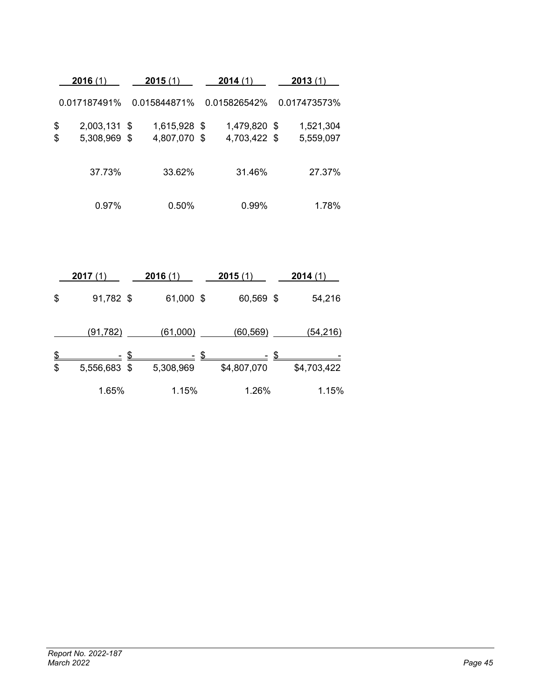| 2016(1) |              | 2015(1)              | 2014(1)      | 2013 (1 |              |  |  |
|---------|--------------|----------------------|--------------|---------|--------------|--|--|
|         | 0.017187491% | 0.015844871%         | 0.015826542% |         | 0.017473573% |  |  |
| \$      | 2,003,131    | 1,615,928 \$<br>- \$ | 1,479,820 \$ |         | 1,521,304    |  |  |
| \$      | 5,308,969 \$ | 4,807,070 \$         | 4,703,422 \$ |         | 5,559,097    |  |  |
|         | 37.73%       | 33.62%               | 31.46%       |         | 27.37%       |  |  |
|         | 0.97%        | 0.50%                | 0.99%        |         | 1.78%        |  |  |

| 2017(1)            |   | 2016(1)   | 2015(1)     | 2014(1)     |
|--------------------|---|-----------|-------------|-------------|
| \$<br>91,782 \$    |   | 61,000 \$ | 60,569 \$   | 54,216      |
| (91,782)           |   | (61,000)  | (60, 569)   | (54,216)    |
|                    | S |           | \$          | \$          |
| \$<br>5,556,683 \$ |   | 5,308,969 | \$4,807,070 | \$4,703,422 |
| 1.65%              |   | 1.15%     | 1.26%       | 1.15%       |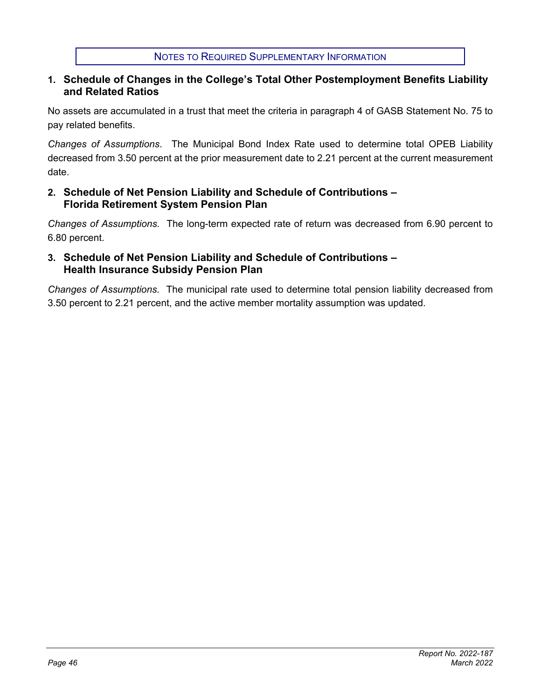# <span id="page-49-0"></span>**1. Schedule of Changes in the College's Total Other Postemployment Benefits Liability and Related Ratios**

No assets are accumulated in a trust that meet the criteria in paragraph 4 of GASB Statement No. 75 to pay related benefits.

*Changes of Assumptions*. The Municipal Bond Index Rate used to determine total OPEB Liability decreased from 3.50 percent at the prior measurement date to 2.21 percent at the current measurement date.

# **2. Schedule of Net Pension Liability and Schedule of Contributions – Florida Retirement System Pension Plan**

*Changes of Assumptions.* The long-term expected rate of return was decreased from 6.90 percent to 6.80 percent.

# **3. Schedule of Net Pension Liability and Schedule of Contributions – Health Insurance Subsidy Pension Plan**

*Changes of Assumptions.* The municipal rate used to determine total pension liability decreased from 3.50 percent to 2.21 percent, and the active member mortality assumption was updated.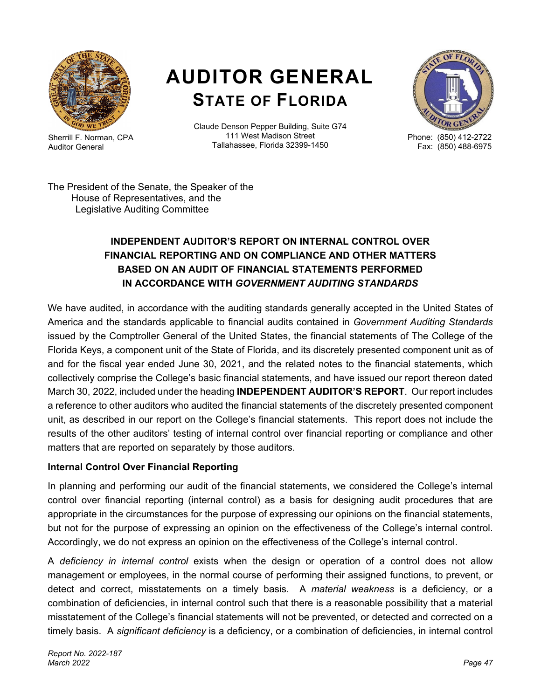<span id="page-50-0"></span>

Sherrill F. Norman, CPA Auditor General

# **AUDITOR GENERAL STATE OF FLORIDA**

Claude Denson Pepper Building, Suite G74 111 West Madison Street Tallahassee, Florida 32399-1450



Phone: (850) 412-2722 Fax: (850) 488-6975

The President of the Senate, the Speaker of the House of Representatives, and the Legislative Auditing Committee

# **INDEPENDENT AUDITOR'S REPORT ON INTERNAL CONTROL OVER FINANCIAL REPORTING AND ON COMPLIANCE AND OTHER MATTERS BASED ON AN AUDIT OF FINANCIAL STATEMENTS PERFORMED IN ACCORDANCE WITH** *GOVERNMENT AUDITING STANDARDS*

We have audited, in accordance with the auditing standards generally accepted in the United States of America and the standards applicable to financial audits contained in *Government Auditing Standards* issued by the Comptroller General of the United States, the financial statements of The College of the Florida Keys, a component unit of the State of Florida, and its discretely presented component unit as of and for the fiscal year ended June 30, 2021, and the related notes to the financial statements, which collectively comprise the College's basic financial statements, and have issued our report thereon dated March 30, 2022, included under the heading **INDEPENDENT AUDITOR'S REPORT**. Our report includes a reference to other auditors who audited the financial statements of the discretely presented component unit, as described in our report on the College's financial statements. This report does not include the results of the other auditors' testing of internal control over financial reporting or compliance and other matters that are reported on separately by those auditors.

# **Internal Control Over Financial Reporting**

In planning and performing our audit of the financial statements, we considered the College's internal control over financial reporting (internal control) as a basis for designing audit procedures that are appropriate in the circumstances for the purpose of expressing our opinions on the financial statements, but not for the purpose of expressing an opinion on the effectiveness of the College's internal control. Accordingly, we do not express an opinion on the effectiveness of the College's internal control.

A *deficiency in internal control* exists when the design or operation of a control does not allow management or employees, in the normal course of performing their assigned functions, to prevent, or detect and correct, misstatements on a timely basis. A *material weakness* is a deficiency, or a combination of deficiencies, in internal control such that there is a reasonable possibility that a material misstatement of the College's financial statements will not be prevented, or detected and corrected on a timely basis. A *significant deficiency* is a deficiency, or a combination of deficiencies, in internal control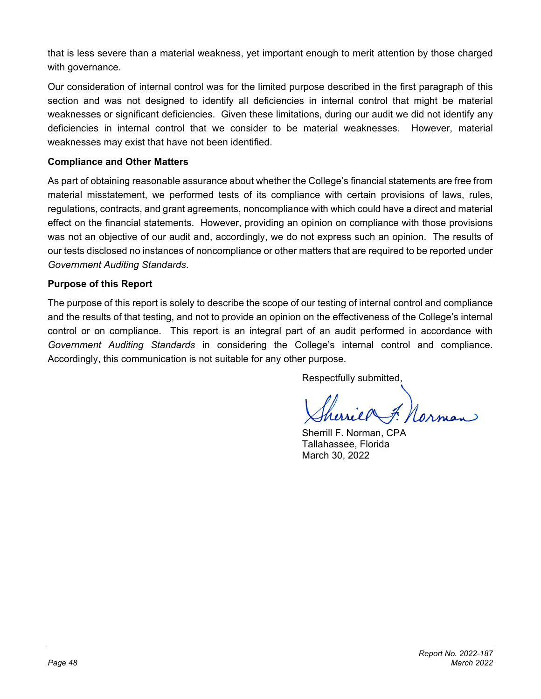<span id="page-51-0"></span>that is less severe than a material weakness, yet important enough to merit attention by those charged with governance.

Our consideration of internal control was for the limited purpose described in the first paragraph of this section and was not designed to identify all deficiencies in internal control that might be material weaknesses or significant deficiencies. Given these limitations, during our audit we did not identify any deficiencies in internal control that we consider to be material weaknesses. However, material weaknesses may exist that have not been identified.

# **Compliance and Other Matters**

As part of obtaining reasonable assurance about whether the College's financial statements are free from material misstatement, we performed tests of its compliance with certain provisions of laws, rules, regulations, contracts, and grant agreements, noncompliance with which could have a direct and material effect on the financial statements. However, providing an opinion on compliance with those provisions was not an objective of our audit and, accordingly, we do not express such an opinion. The results of our tests disclosed no instances of noncompliance or other matters that are required to be reported under *Government Auditing Standards*.

### **Purpose of this Report**

The purpose of this report is solely to describe the scope of our testing of internal control and compliance and the results of that testing, and not to provide an opinion on the effectiveness of the College's internal control or on compliance. This report is an integral part of an audit performed in accordance with *Government Auditing Standards* in considering the College's internal control and compliance. Accordingly, this communication is not suitable for any other purpose.

Respectfully submitted,

Sherrill F. Norman, CPA Tallahassee, Florida March 30, 2022